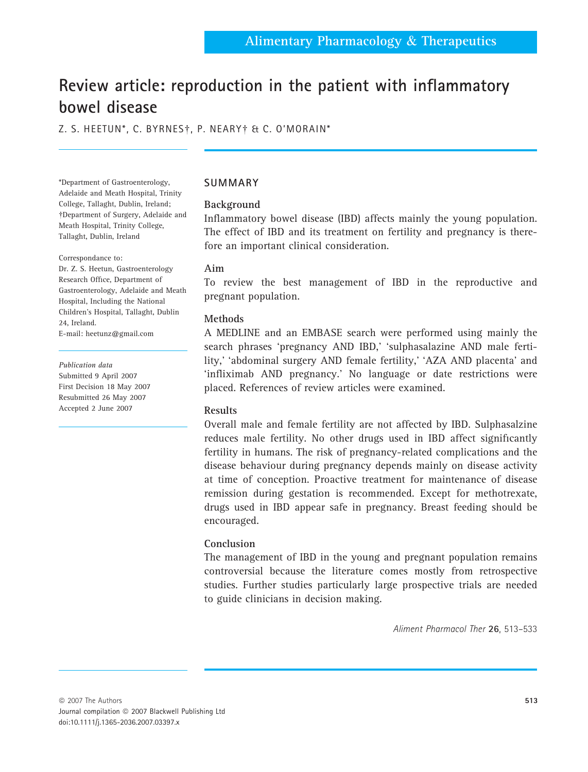# Review article: reproduction in the patient with inflammatory bowel disease

Z. S. HEETUN\*, C. BYRNES†, P. NEARY† & C. O'MORAIN\*

\*Department of Gastroenterology, Adelaide and Meath Hospital, Trinity College, Tallaght, Dublin, Ireland; -Department of Surgery, Adelaide and Meath Hospital, Trinity College, Tallaght, Dublin, Ireland

#### Correspondance to:

Dr. Z. S. Heetun, Gastroenterology Research Office, Department of Gastroenterology, Adelaide and Meath Hospital, Including the National Children's Hospital, Tallaght, Dublin 24, Ireland. E-mail: heetunz@gmail.com

Publication data Submitted 9 April 2007 First Decision 18 May 2007 Resubmitted 26 May 2007 Accepted 2 June 2007

### SUMMARY

### Background

Inflammatory bowel disease (IBD) affects mainly the young population. The effect of IBD and its treatment on fertility and pregnancy is therefore an important clinical consideration.

# Aim

To review the best management of IBD in the reproductive and pregnant population.

### Methods

A MEDLINE and an EMBASE search were performed using mainly the search phrases 'pregnancy AND IBD,' 'sulphasalazine AND male fertility,' 'abdominal surgery AND female fertility,' 'AZA AND placenta' and 'infliximab AND pregnancy.' No language or date restrictions were placed. References of review articles were examined.

# Results

Overall male and female fertility are not affected by IBD. Sulphasalzine reduces male fertility. No other drugs used in IBD affect significantly fertility in humans. The risk of pregnancy-related complications and the disease behaviour during pregnancy depends mainly on disease activity at time of conception. Proactive treatment for maintenance of disease remission during gestation is recommended. Except for methotrexate, drugs used in IBD appear safe in pregnancy. Breast feeding should be encouraged.

# Conclusion

The management of IBD in the young and pregnant population remains controversial because the literature comes mostly from retrospective studies. Further studies particularly large prospective trials are needed to guide clinicians in decision making.

Aliment Pharmacol Ther 26, 513–533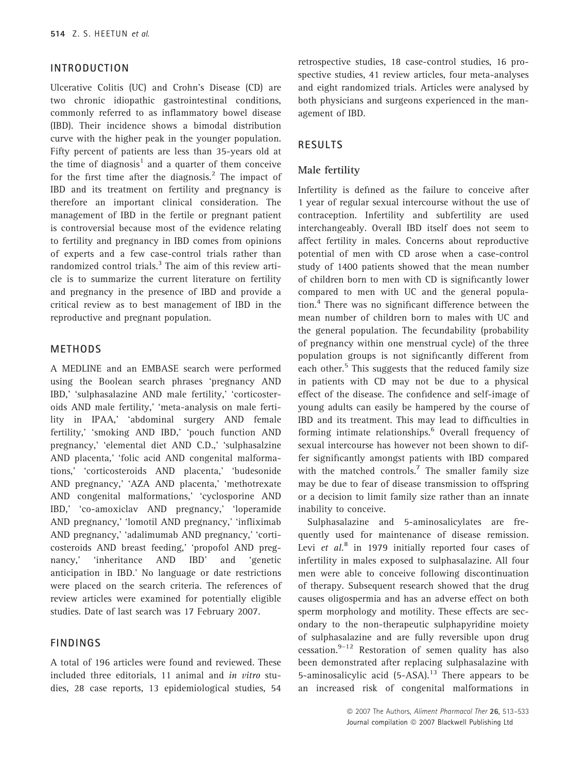### INTRODUCTION

Ulcerative Colitis (UC) and Crohn's Disease (CD) are two chronic idiopathic gastrointestinal conditions, commonly referred to as inflammatory bowel disease (IBD). Their incidence shows a bimodal distribution curve with the higher peak in the younger population. Fifty percent of patients are less than 35-years old at the time of diagnosis<sup>1</sup> and a quarter of them conceive for the first time after the diagnosis.<sup>2</sup> The impact of IBD and its treatment on fertility and pregnancy is therefore an important clinical consideration. The management of IBD in the fertile or pregnant patient is controversial because most of the evidence relating to fertility and pregnancy in IBD comes from opinions of experts and a few case-control trials rather than randomized control trials.<sup>3</sup> The aim of this review article is to summarize the current literature on fertility and pregnancy in the presence of IBD and provide a critical review as to best management of IBD in the reproductive and pregnant population.

# METHODS

A MEDLINE and an EMBASE search were performed using the Boolean search phrases 'pregnancy AND IBD,' 'sulphasalazine AND male fertility,' 'corticosteroids AND male fertility,' 'meta-analysis on male fertility in IPAA,' 'abdominal surgery AND female fertility,' 'smoking AND IBD,' 'pouch function AND pregnancy,' 'elemental diet AND C.D.,' 'sulphasalzine AND placenta,' 'folic acid AND congenital malformations,' 'corticosteroids AND placenta,' 'budesonide AND pregnancy,' 'AZA AND placenta,' 'methotrexate AND congenital malformations,' 'cyclosporine AND IBD,' 'co-amoxiclav AND pregnancy,' 'loperamide AND pregnancy,' 'lomotil AND pregnancy,' 'infliximab AND pregnancy,' 'adalimumab AND pregnancy,' 'corticosteroids AND breast feeding,' 'propofol AND pregnancy,' 'inheritance AND IBD' and 'genetic anticipation in IBD.' No language or date restrictions were placed on the search criteria. The references of review articles were examined for potentially eligible studies. Date of last search was 17 February 2007.

### FINDINGS

A total of 196 articles were found and reviewed. These included three editorials, 11 animal and in vitro studies, 28 case reports, 13 epidemiological studies, 54 retrospective studies, 18 case-control studies, 16 prospective studies, 41 review articles, four meta-analyses and eight randomized trials. Articles were analysed by both physicians and surgeons experienced in the management of IBD.

# RESULTS

### Male fertility

Infertility is defined as the failure to conceive after 1 year of regular sexual intercourse without the use of contraception. Infertility and subfertility are used interchangeably. Overall IBD itself does not seem to affect fertility in males. Concerns about reproductive potential of men with CD arose when a case-control study of 1400 patients showed that the mean number of children born to men with CD is significantly lower compared to men with UC and the general population.<sup>4</sup> There was no significant difference between the mean number of children born to males with UC and the general population. The fecundability (probability of pregnancy within one menstrual cycle) of the three population groups is not significantly different from each other.<sup>5</sup> This suggests that the reduced family size in patients with CD may not be due to a physical effect of the disease. The confidence and self-image of young adults can easily be hampered by the course of IBD and its treatment. This may lead to difficulties in forming intimate relationships.<sup>6</sup> Overall frequency of sexual intercourse has however not been shown to differ significantly amongst patients with IBD compared with the matched controls.<sup>7</sup> The smaller family size may be due to fear of disease transmission to offspring or a decision to limit family size rather than an innate inability to conceive.

Sulphasalazine and 5-aminosalicylates are frequently used for maintenance of disease remission. Levi et  $al^8$  in 1979 initially reported four cases of infertility in males exposed to sulphasalazine. All four men were able to conceive following discontinuation of therapy. Subsequent research showed that the drug causes oligospermia and has an adverse effect on both sperm morphology and motility. These effects are secondary to the non-therapeutic sulphapyridine moiety of sulphasalazine and are fully reversible upon drug cessation.<sup>9-12</sup> Restoration of semen quality has also been demonstrated after replacing sulphasalazine with 5-aminosalicylic acid  $(5-ASA).$ <sup>13</sup> There appears to be an increased risk of congenital malformations in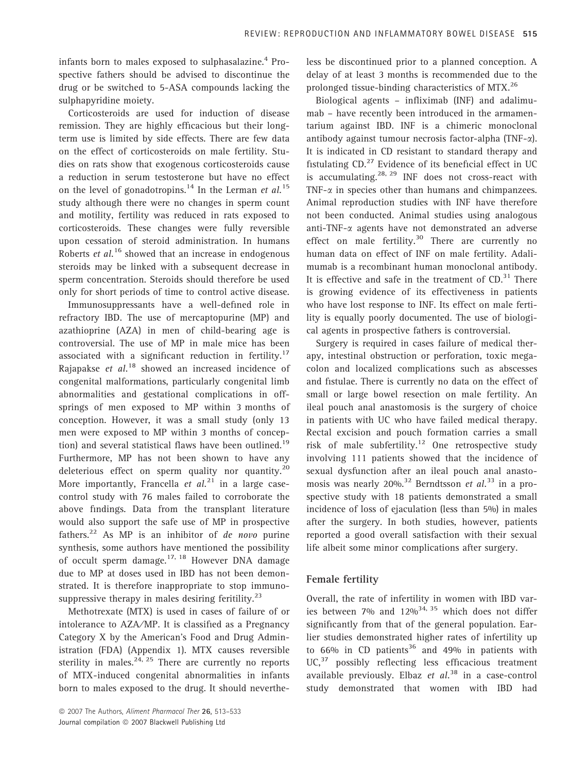infants born to males exposed to sulphasalazine.<sup>4</sup> Prospective fathers should be advised to discontinue the drug or be switched to 5-ASA compounds lacking the sulphapyridine moiety.

Corticosteroids are used for induction of disease remission. They are highly efficacious but their longterm use is limited by side effects. There are few data on the effect of corticosteroids on male fertility. Studies on rats show that exogenous corticosteroids cause a reduction in serum testosterone but have no effect on the level of gonadotropins.<sup>14</sup> In the Lerman et  $al.^{15}$ . study although there were no changes in sperm count and motility, fertility was reduced in rats exposed to corticosteroids. These changes were fully reversible upon cessation of steroid administration. In humans Roberts *et al.*<sup>16</sup> showed that an increase in endogenous steroids may be linked with a subsequent decrease in sperm concentration. Steroids should therefore be used only for short periods of time to control active disease.

Immunosuppressants have a well-defined role in refractory IBD. The use of mercaptopurine (MP) and azathioprine (AZA) in men of child-bearing age is controversial. The use of MP in male mice has been associated with a significant reduction in fertility.<sup>17</sup> Rajapakse et  $al.^{18}$  showed an increased incidence of congenital malformations, particularly congenital limb abnormalities and gestational complications in offsprings of men exposed to MP within 3 months of conception. However, it was a small study (only 13 men were exposed to MP within 3 months of conception) and several statistical flaws have been outlined.<sup>19</sup> Furthermore, MP has not been shown to have any deleterious effect on sperm quality nor quantity.<sup>20</sup> More importantly, Francella et  $al.^{21}$  in a large casecontrol study with 76 males failed to corroborate the above findings. Data from the transplant literature would also support the safe use of MP in prospective fathers.<sup>22</sup> As MP is an inhibitor of de novo purine synthesis, some authors have mentioned the possibility of occult sperm damage.<sup>17, 18</sup> However DNA damage due to MP at doses used in IBD has not been demonstrated. It is therefore inappropriate to stop immunosuppressive therapy in males desiring feritility. $23$ 

Methotrexate (MTX) is used in cases of failure of or intolerance to AZA/MP. It is classified as a Pregnancy Category X by the American's Food and Drug Administration (FDA) (Appendix 1). MTX causes reversible sterility in males. $24, 25$  There are currently no reports of MTX-induced congenital abnormalities in infants born to males exposed to the drug. It should nevertheless be discontinued prior to a planned conception. A delay of at least 3 months is recommended due to the prolonged tissue-binding characteristics of MTX.<sup>26</sup>

Biological agents – infliximab (INF) and adalimumab – have recently been introduced in the armamentarium against IBD. INF is a chimeric monoclonal antibody against tumour necrosis factor-alpha (TNF-a). It is indicated in CD resistant to standard therapy and fistulating CD.<sup>27</sup> Evidence of its beneficial effect in UC is accumulating.<sup>28, 29</sup> INF does not cross-react with TNF- $\alpha$  in species other than humans and chimpanzees. Animal reproduction studies with INF have therefore not been conducted. Animal studies using analogous anti-TNF-a agents have not demonstrated an adverse effect on male fertility.<sup>30</sup> There are currently no human data on effect of INF on male fertility. Adalimumab is a recombinant human monoclonal antibody. It is effective and safe in the treatment of  $CD<sup>31</sup>$  There is growing evidence of its effectiveness in patients who have lost response to INF. Its effect on male fertility is equally poorly documented. The use of biological agents in prospective fathers is controversial.

Surgery is required in cases failure of medical therapy, intestinal obstruction or perforation, toxic megacolon and localized complications such as abscesses and fistulae. There is currently no data on the effect of small or large bowel resection on male fertility. An ileal pouch anal anastomosis is the surgery of choice in patients with UC who have failed medical therapy. Rectal excision and pouch formation carries a small risk of male subfertility.<sup>12</sup> One retrospective study involving 111 patients showed that the incidence of sexual dysfunction after an ileal pouch anal anastomosis was nearly  $20\%$ .<sup>32</sup> Berndtsson et al.<sup>33</sup> in a prospective study with 18 patients demonstrated a small incidence of loss of ejaculation (less than 5%) in males after the surgery. In both studies, however, patients reported a good overall satisfaction with their sexual life albeit some minor complications after surgery.

### Female fertility

Overall, the rate of infertility in women with IBD varies between  $7\%$  and  $12\%^{34, 35}$  which does not differ significantly from that of the general population. Earlier studies demonstrated higher rates of infertility up to  $66\%$  in CD patients<sup>36</sup> and 49% in patients with UC,<sup>37</sup> possibly reflecting less efficacious treatment available previously. Elbaz et  $al.^{38}$  in a case-control study demonstrated that women with IBD had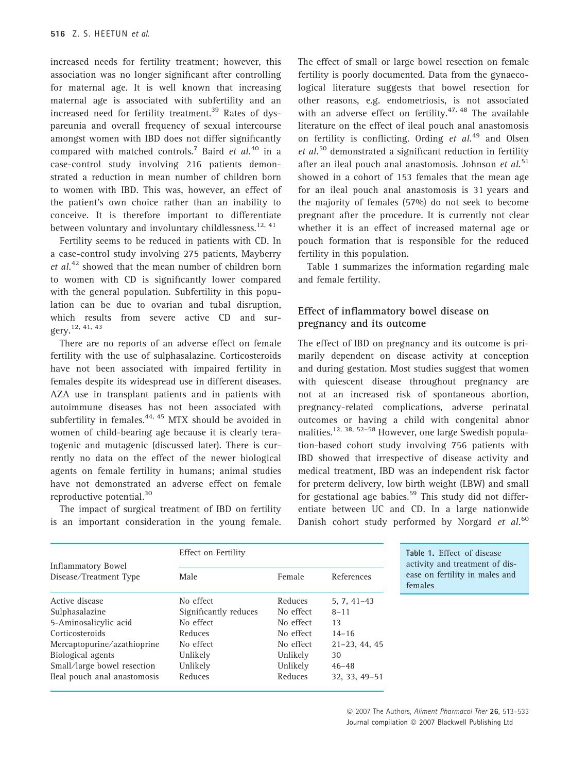increased needs for fertility treatment; however, this association was no longer significant after controlling for maternal age. It is well known that increasing maternal age is associated with subfertility and an increased need for fertility treatment.<sup>39</sup> Rates of dyspareunia and overall frequency of sexual intercourse amongst women with IBD does not differ significantly compared with matched controls.<sup>7</sup> Baird et  $al$ ,  $40$  in a case-control study involving 216 patients demonstrated a reduction in mean number of children born to women with IBD. This was, however, an effect of the patient's own choice rather than an inability to conceive. It is therefore important to differentiate between voluntary and involuntary childlessness.<sup>12, 41</sup>

Fertility seems to be reduced in patients with CD. In a case-control study involving 275 patients, Mayberry et  $al^{42}$  showed that the mean number of children born to women with CD is significantly lower compared with the general population. Subfertility in this population can be due to ovarian and tubal disruption, which results from severe active CD and surgery.12, 41, 43

There are no reports of an adverse effect on female fertility with the use of sulphasalazine. Corticosteroids have not been associated with impaired fertility in females despite its widespread use in different diseases. AZA use in transplant patients and in patients with autoimmune diseases has not been associated with subfertility in females. $44, 45$  MTX should be avoided in women of child-bearing age because it is clearly teratogenic and mutagenic (discussed later). There is currently no data on the effect of the newer biological agents on female fertility in humans; animal studies have not demonstrated an adverse effect on female reproductive potential.<sup>30</sup>

The impact of surgical treatment of IBD on fertility is an important consideration in the young female. The effect of small or large bowel resection on female fertility is poorly documented. Data from the gynaecological literature suggests that bowel resection for other reasons, e.g. endometriosis, is not associated with an adverse effect on fertility. $47, 48$  The available literature on the effect of ileal pouch anal anastomosis on fertility is conflicting. Ording  $et$   $al.^{49}$  and Olsen et al.<sup>50</sup> demonstrated a significant reduction in fertility after an ileal pouch anal anastomosis. Johnson et  $al$ .<sup>51</sup> showed in a cohort of 153 females that the mean age for an ileal pouch anal anastomosis is 31 years and the majority of females (57%) do not seek to become pregnant after the procedure. It is currently not clear whether it is an effect of increased maternal age or pouch formation that is responsible for the reduced fertility in this population.

Table 1 summarizes the information regarding male and female fertility.

# Effect of inflammatory bowel disease on pregnancy and its outcome

The effect of IBD on pregnancy and its outcome is primarily dependent on disease activity at conception and during gestation. Most studies suggest that women with quiescent disease throughout pregnancy are not at an increased risk of spontaneous abortion, pregnancy-related complications, adverse perinatal outcomes or having a child with congenital abnor malities.12, 38, 52–58 However, one large Swedish population-based cohort study involving 756 patients with IBD showed that irrespective of disease activity and medical treatment, IBD was an independent risk factor for preterm delivery, low birth weight (LBW) and small for gestational age babies.<sup>59</sup> This study did not differentiate between UC and CD. In a large nationwide Danish cohort study performed by Norgard  $et$   $al.^{60}$ .

|                                                     | Effect on Fertility   |           |                   |  |
|-----------------------------------------------------|-----------------------|-----------|-------------------|--|
| <b>Inflammatory Bowel</b><br>Disease/Treatment Type | Male                  | Female    | References        |  |
| Active disease                                      | No effect             | Reduces   |                   |  |
|                                                     |                       |           | $5, 7, 41-43$     |  |
| Sulphasalazine                                      | Significantly reduces | No effect | $8 - 11$          |  |
| 5-Aminosalicylic acid                               | No effect             | No effect | 13                |  |
| Corticosteroids                                     | Reduces               | No effect | $14 - 16$         |  |
| Mercaptopurine/azathioprine                         | No effect             | No effect | $21 - 23, 44, 45$ |  |
| Biological agents                                   | Unlikely              | Unlikely  | 30                |  |
| Small/large bowel resection                         | Unlikely              | Unlikely  | $46 - 48$         |  |
| Ileal pouch anal anastomosis                        | Reduces               | Reduces   | 32, 33, 49-51     |  |

Table 1. Effect of disease activity and treatment of disease on fertility in males and females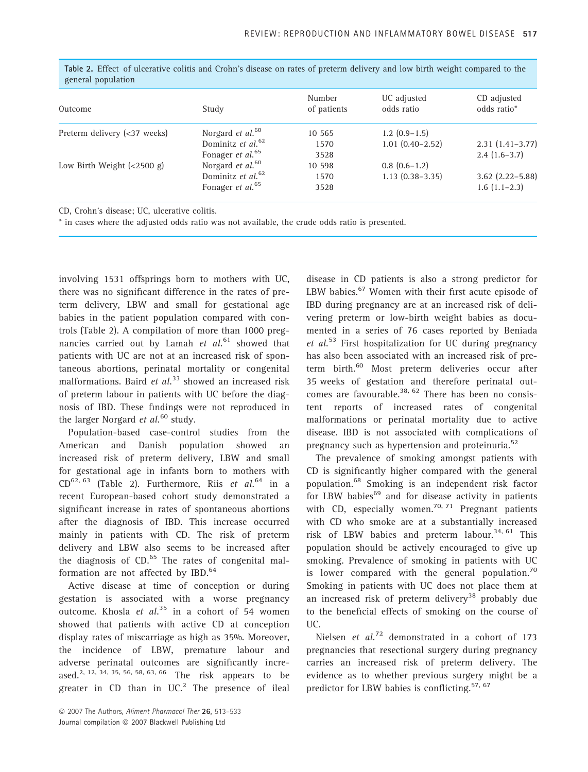Table 2. Effect of ulcerative colitis and Crohn's disease on rates of preterm delivery and low birth weight compared to the general population

| Outcome                                            | Study                         | Number<br>of patients | UC adjusted<br>odds ratio | CD adjusted<br>odds ratio* |
|----------------------------------------------------|-------------------------------|-----------------------|---------------------------|----------------------------|
| Preterm delivery (<37 weeks)                       | Norgard et al. <sup>60</sup>  | 10 565                | $1.2$ (0.9–1.5)           |                            |
|                                                    | Dominitz et al. <sup>62</sup> | 1570                  | $1.01(0.40-2.52)$         | $2.31(1.41-3.77)$          |
|                                                    | Fonager et al. <sup>65</sup>  | 3528                  |                           | $2.4(1.6-3.7)$             |
| Low Birth Weight $\left( < 2500 \text{ g} \right)$ | Norgard et al. <sup>60</sup>  | 10 598                | $0.8$ $(0.6-1.2)$         |                            |
|                                                    | Dominitz et al. <sup>62</sup> | 1570                  | $1.13(0.38-3.35)$         | $3.62$ $(2.22 - 5.88)$     |
|                                                    | Fonager et al. <sup>65</sup>  | 3528                  |                           | $1.6(1.1-2.3)$             |

CD, Crohn's disease; UC, ulcerative colitis.

\* in cases where the adjusted odds ratio was not available, the crude odds ratio is presented.

involving 1531 offsprings born to mothers with UC, there was no significant difference in the rates of preterm delivery, LBW and small for gestational age babies in the patient population compared with controls (Table 2). A compilation of more than 1000 pregnancies carried out by Lamah et  $al$ <sup>61</sup> showed that patients with UC are not at an increased risk of spontaneous abortions, perinatal mortality or congenital malformations. Baird et  $al.^{33}$  showed an increased risk of preterm labour in patients with UC before the diagnosis of IBD. These findings were not reproduced in the larger Norgard  $et$   $al$ .<sup>60</sup> study.

Population-based case-control studies from the American and Danish population showed an increased risk of preterm delivery, LBW and small for gestational age in infants born to mothers with  $CD^{62, 63}$  (Table 2). Furthermore, Riis et al.<sup>64</sup> in a recent European-based cohort study demonstrated a significant increase in rates of spontaneous abortions after the diagnosis of IBD. This increase occurred mainly in patients with CD. The risk of preterm delivery and LBW also seems to be increased after the diagnosis of  $CD<sup>65</sup>$  The rates of congenital malformation are not affected by IBD.<sup>64</sup>

Active disease at time of conception or during gestation is associated with a worse pregnancy outcome. Khosla et  $al.^{35}$  in a cohort of 54 women showed that patients with active CD at conception display rates of miscarriage as high as 35%. Moreover, the incidence of LBW, premature labour and adverse perinatal outcomes are significantly increased.<sup>2, 12, 34, 35, 56, 58, 63, 66</sup> The risk appears to be greater in CD than in  $UC<sup>2</sup>$ . The presence of ileal disease in CD patients is also a strong predictor for LBW babies.<sup>67</sup> Women with their first acute episode of IBD during pregnancy are at an increased risk of delivering preterm or low-birth weight babies as documented in a series of 76 cases reported by Beniada et  $al$ <sup>53</sup> First hospitalization for UC during pregnancy has also been associated with an increased risk of preterm birth.<sup>60</sup> Most preterm deliveries occur after 35 weeks of gestation and therefore perinatal outcomes are favourable.<sup>38, 62</sup> There has been no consistent reports of increased rates of congenital malformations or perinatal mortality due to active disease. IBD is not associated with complications of pregnancy such as hypertension and proteinuria.<sup>52</sup>

The prevalence of smoking amongst patients with CD is significantly higher compared with the general population.<sup>68</sup> Smoking is an independent risk factor for LBW babies $^{69}$  and for disease activity in patients with CD, especially women.<sup>70, 71</sup> Pregnant patients with CD who smoke are at a substantially increased risk of LBW babies and preterm labour.<sup>34, 61</sup> This population should be actively encouraged to give up smoking. Prevalence of smoking in patients with UC is lower compared with the general population.<sup>70</sup> Smoking in patients with UC does not place them at an increased risk of preterm delivery $38$  probably due to the beneficial effects of smoking on the course of UC.

Nielsen et al.<sup>72</sup> demonstrated in a cohort of 173 pregnancies that resectional surgery during pregnancy carries an increased risk of preterm delivery. The evidence as to whether previous surgery might be a predictor for LBW babies is conflicting. $57, 67$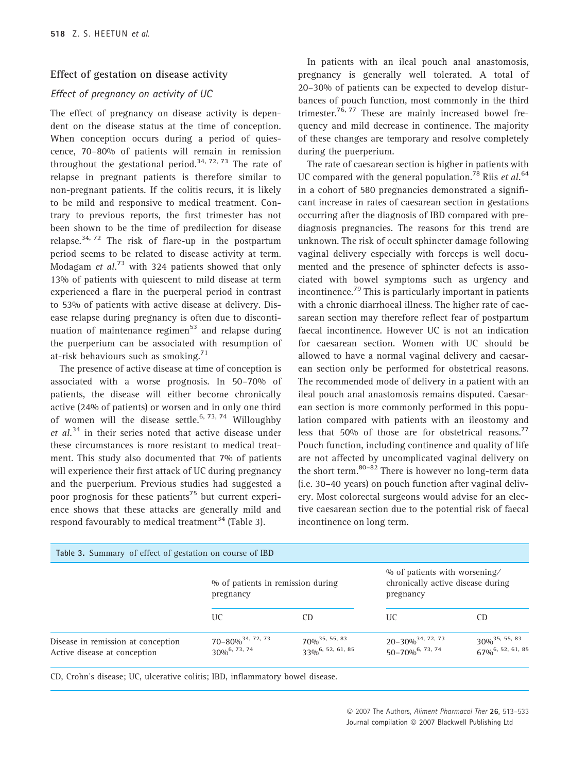### Effect of gestation on disease activity

# Effect of pregnancy on activity of UC

The effect of pregnancy on disease activity is dependent on the disease status at the time of conception. When conception occurs during a period of quiescence, 70–80% of patients will remain in remission throughout the gestational period.<sup>34, 72, 73</sup> The rate of relapse in pregnant patients is therefore similar to non-pregnant patients. If the colitis recurs, it is likely to be mild and responsive to medical treatment. Contrary to previous reports, the first trimester has not been shown to be the time of predilection for disease relapse.<sup>34, 72</sup> The risk of flare-up in the postpartum period seems to be related to disease activity at term. Modagam et  $al^{73}$  with 324 patients showed that only 13% of patients with quiescent to mild disease at term experienced a flare in the puerperal period in contrast to 53% of patients with active disease at delivery. Disease relapse during pregnancy is often due to discontinuation of maintenance regimen $53$  and relapse during the puerperium can be associated with resumption of at-risk behaviours such as smoking.<sup>71</sup>

The presence of active disease at time of conception is associated with a worse prognosis. In 50–70% of patients, the disease will either become chronically active (24% of patients) or worsen and in only one third of women will the disease settle.<sup>6, 73, 74</sup> Willoughby  $et$   $al.^{34}$  in their series noted that active disease under these circumstances is more resistant to medical treatment. This study also documented that 7% of patients will experience their first attack of UC during pregnancy and the puerperium. Previous studies had suggested a poor prognosis for these patients<sup>75</sup> but current experience shows that these attacks are generally mild and respond favourably to medical treatment<sup>34</sup> (Table 3).

In patients with an ileal pouch anal anastomosis, pregnancy is generally well tolerated. A total of 20–30% of patients can be expected to develop disturbances of pouch function, most commonly in the third trimester.<sup>76, 77</sup> These are mainly increased bowel frequency and mild decrease in continence. The majority of these changes are temporary and resolve completely during the puerperium.

The rate of caesarean section is higher in patients with UC compared with the general population.<sup>78</sup> Riis et al.<sup>64</sup> in a cohort of 580 pregnancies demonstrated a significant increase in rates of caesarean section in gestations occurring after the diagnosis of IBD compared with prediagnosis pregnancies. The reasons for this trend are unknown. The risk of occult sphincter damage following vaginal delivery especially with forceps is well documented and the presence of sphincter defects is associated with bowel symptoms such as urgency and incontinence.<sup>79</sup> This is particularly important in patients with a chronic diarrhoeal illness. The higher rate of caesarean section may therefore reflect fear of postpartum faecal incontinence. However UC is not an indication for caesarean section. Women with UC should be allowed to have a normal vaginal delivery and caesarean section only be performed for obstetrical reasons. The recommended mode of delivery in a patient with an ileal pouch anal anastomosis remains disputed. Caesarean section is more commonly performed in this population compared with patients with an ileostomy and less that 50% of those are for obstetrical reasons.<sup>77</sup> Pouch function, including continence and quality of life are not affected by uncomplicated vaginal delivery on the short term. $80-82$  There is however no long-term data (i.e. 30–40 years) on pouch function after vaginal delivery. Most colorectal surgeons would advise for an elective caesarean section due to the potential risk of faecal incontinence on long term.

| Table 3. Summary of effect of gestation on course of IBD           |                                                |                                             |                                                                                    |                                                |
|--------------------------------------------------------------------|------------------------------------------------|---------------------------------------------|------------------------------------------------------------------------------------|------------------------------------------------|
|                                                                    | % of patients in remission during<br>pregnancy |                                             | $\%$ of patients with worsening/<br>chronically active disease during<br>pregnancy |                                                |
|                                                                    | UC                                             | CD                                          | UC                                                                                 | CD                                             |
| Disease in remission at conception<br>Active disease at conception | $70 - 80\%^{34, 72, 73}$<br>$30\%^{6, 73, 74}$ | $70\%^{35, 55, 83}$<br>$330/6$ , 52, 61, 85 | $20 - 30\%^{34, 72, 73}$<br>$50 - 70\%$ <sup>6, 73, 74</sup>                       | $30\%^{35, 55, 83}$<br>$670/0^{6, 52, 61, 85}$ |

CD, Crohn's disease; UC, ulcerative colitis; IBD, inflammatory bowel disease.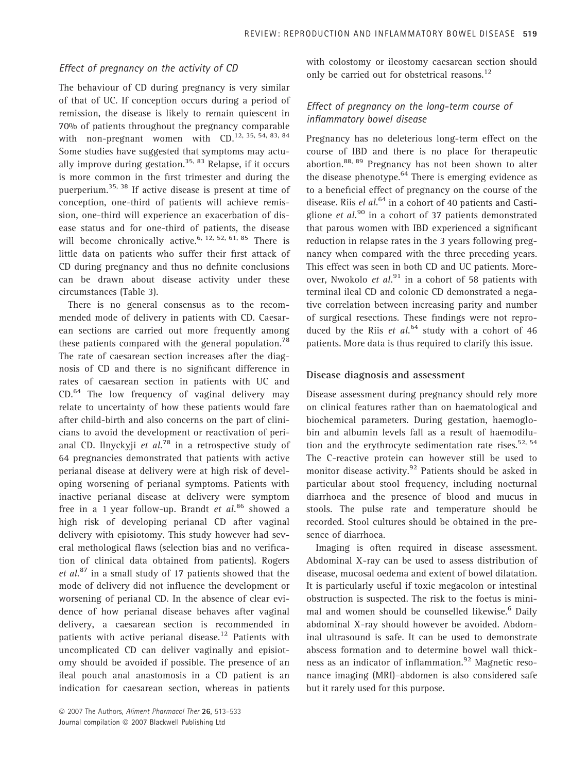#### Effect of pregnancy on the activity of CD

The behaviour of CD during pregnancy is very similar of that of UC. If conception occurs during a period of remission, the disease is likely to remain quiescent in 70% of patients throughout the pregnancy comparable with non-pregnant women with CD.<sup>12, 35, 54, 83, 84</sup> Some studies have suggested that symptoms may actually improve during gestation.<sup>35, 83</sup> Relapse, if it occurs is more common in the first trimester and during the puerperium.35, 38 If active disease is present at time of conception, one-third of patients will achieve remission, one-third will experience an exacerbation of disease status and for one-third of patients, the disease will become chronically active.<sup>6, 12, 52, 61, 85</sup> There is little data on patients who suffer their first attack of CD during pregnancy and thus no definite conclusions can be drawn about disease activity under these circumstances (Table 3).

There is no general consensus as to the recommended mode of delivery in patients with CD. Caesarean sections are carried out more frequently among these patients compared with the general population.<sup>78</sup> The rate of caesarean section increases after the diagnosis of CD and there is no significant difference in rates of caesarean section in patients with UC and  $CD.<sup>64</sup>$  The low frequency of vaginal delivery may relate to uncertainty of how these patients would fare after child-birth and also concerns on the part of clinicians to avoid the development or reactivation of perianal CD. Ilnyckyji et  $al.^{78}$  in a retrospective study of 64 pregnancies demonstrated that patients with active perianal disease at delivery were at high risk of developing worsening of perianal symptoms. Patients with inactive perianal disease at delivery were symptom free in a 1 year follow-up. Brandt et  $al.^{86}$  showed a high risk of developing perianal CD after vaginal delivery with episiotomy. This study however had several methological flaws (selection bias and no verification of clinical data obtained from patients). Rogers et  $al.^{87}$  in a small study of 17 patients showed that the mode of delivery did not influence the development or worsening of perianal CD. In the absence of clear evidence of how perianal disease behaves after vaginal delivery, a caesarean section is recommended in patients with active perianal disease.<sup>12</sup> Patients with uncomplicated CD can deliver vaginally and episiotomy should be avoided if possible. The presence of an ileal pouch anal anastomosis in a CD patient is an indication for caesarean section, whereas in patients with colostomy or ileostomy caesarean section should only be carried out for obstetrical reasons.<sup>12</sup>

# Effect of pregnancy on the long-term course of inflammatory bowel disease

Pregnancy has no deleterious long-term effect on the course of IBD and there is no place for therapeutic abortion.88, 89 Pregnancy has not been shown to alter the disease phenotype. $64$  There is emerging evidence as to a beneficial effect of pregnancy on the course of the disease. Riis el al.<sup>64</sup> in a cohort of 40 patients and Castiglione et  $al$ <sup>90</sup> in a cohort of 37 patients demonstrated that parous women with IBD experienced a significant reduction in relapse rates in the 3 years following pregnancy when compared with the three preceding years. This effect was seen in both CD and UC patients. Moreover, Nwokolo et  $al.^{91}$  in a cohort of 58 patients with terminal ileal CD and colonic CD demonstrated a negative correlation between increasing parity and number of surgical resections. These findings were not reproduced by the Riis et  $al^{64}$  study with a cohort of 46 patients. More data is thus required to clarify this issue.

### Disease diagnosis and assessment

Disease assessment during pregnancy should rely more on clinical features rather than on haematological and biochemical parameters. During gestation, haemoglobin and albumin levels fall as a result of haemodilution and the erythrocyte sedimentation rate rises.<sup>52, 54</sup> The C-reactive protein can however still be used to monitor disease activity.<sup>92</sup> Patients should be asked in particular about stool frequency, including nocturnal diarrhoea and the presence of blood and mucus in stools. The pulse rate and temperature should be recorded. Stool cultures should be obtained in the presence of diarrhoea.

Imaging is often required in disease assessment. Abdominal X-ray can be used to assess distribution of disease, mucosal oedema and extent of bowel dilatation. It is particularly useful if toxic megacolon or intestinal obstruction is suspected. The risk to the foetus is minimal and women should be counselled likewise.<sup>6</sup> Daily abdominal X-ray should however be avoided. Abdominal ultrasound is safe. It can be used to demonstrate abscess formation and to determine bowel wall thickness as an indicator of inflammation.<sup>92</sup> Magnetic resonance imaging (MRI)–abdomen is also considered safe but it rarely used for this purpose.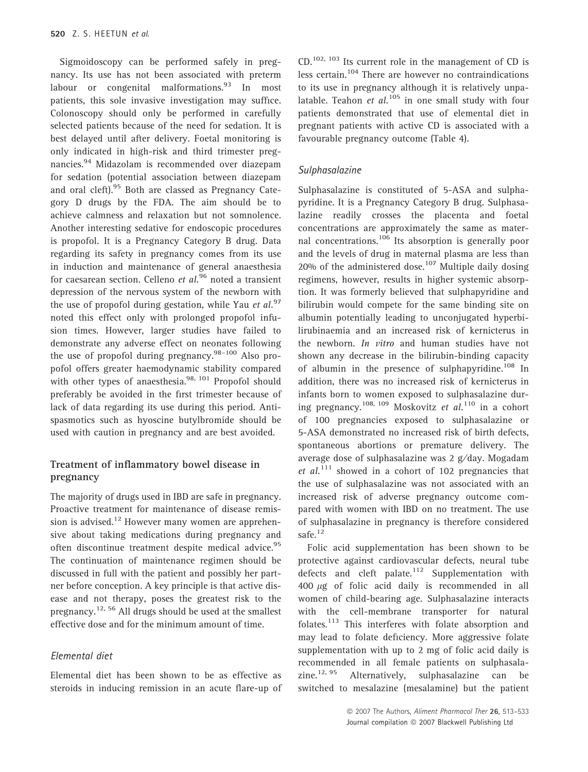Sigmoidoscopy can be performed safely in pregnancy. Its use has not been associated with preterm labour or congenital malformations. $93$  In most patients, this sole invasive investigation may suffice. Colonoscopy should only be performed in carefully selected patients because of the need for sedation. It is best delayed until after delivery. Foetal monitoring is only indicated in high-risk and third trimester pregnancies.<sup>94</sup> Midazolam is recommended over diazepam for sedation (potential association between diazepam and oral cleft).<sup>95</sup> Both are classed as Pregnancy Category D drugs by the FDA. The aim should be to achieve calmness and relaxation but not somnolence. Another interesting sedative for endoscopic procedures is propofol. It is a Pregnancy Category B drug. Data regarding its safety in pregnancy comes from its use in induction and maintenance of general anaesthesia for caesarean section. Celleno et al.<sup>96</sup> noted a transient depression of the nervous system of the newborn with the use of propofol during gestation, while Yau et  $al$ <sup>97</sup> noted this effect only with prolonged propofol infusion times. However, larger studies have failed to demonstrate any adverse effect on neonates following the use of propofol during pregnancy.<sup>98-100</sup> Also propofol offers greater haemodynamic stability compared with other types of anaesthesia. $98, 101$  Propofol should preferably be avoided in the first trimester because of lack of data regarding its use during this period. Antispasmotics such as hyoscine butylbromide should be used with caution in pregnancy and are best avoided.

# Treatment of inflammatory bowel disease in pregnancy

The majority of drugs used in IBD are safe in pregnancy. Proactive treatment for maintenance of disease remission is advised.<sup>12</sup> However many women are apprehensive about taking medications during pregnancy and often discontinue treatment despite medical advice.<sup>95</sup> The continuation of maintenance regimen should be discussed in full with the patient and possibly her partner before conception. A key principle is that active disease and not therapy, poses the greatest risk to the pregnancy.12, 56 All drugs should be used at the smallest effective dose and for the minimum amount of time.

# Elemental diet

Elemental diet has been shown to be as effective as steroids in inducing remission in an acute flare-up of CD.102, 103 Its current role in the management of CD is less certain.<sup>104</sup> There are however no contraindications to its use in pregnancy although it is relatively unpalatable. Teahon et  $al$ ,  $105$  in one small study with four patients demonstrated that use of elemental diet in pregnant patients with active CD is associated with a favourable pregnancy outcome (Table 4).

# Sulphasalazine

Sulphasalazine is constituted of 5-ASA and sulphapyridine. It is a Pregnancy Category B drug. Sulphasalazine readily crosses the placenta and foetal concentrations are approximately the same as maternal concentrations.<sup>106</sup> Its absorption is generally poor and the levels of drug in maternal plasma are less than 20% of the administered dose.<sup>107</sup> Multiple daily dosing regimens, however, results in higher systemic absorption. It was formerly believed that sulphapyridine and bilirubin would compete for the same binding site on albumin potentially leading to unconjugated hyperbilirubinaemia and an increased risk of kernicterus in the newborn. In vitro and human studies have not shown any decrease in the bilirubin-binding capacity of albumin in the presence of sulphapyridine.<sup>108</sup> In addition, there was no increased risk of kernicterus in infants born to women exposed to sulphasalazine during pregnancy.<sup>108, 109</sup> Moskovitz et al.<sup>110</sup> in a cohort of 100 pregnancies exposed to sulphasalazine or 5-ASA demonstrated no increased risk of birth defects, spontaneous abortions or premature delivery. The average dose of sulphasalazine was  $2 \frac{g}{day}$ . Mogadam et al.<sup>111</sup> showed in a cohort of 102 pregnancies that the use of sulphasalazine was not associated with an increased risk of adverse pregnancy outcome compared with women with IBD on no treatment. The use of sulphasalazine in pregnancy is therefore considered safe.<sup>12</sup>

Folic acid supplementation has been shown to be protective against cardiovascular defects, neural tube defects and cleft palate. $112$  Supplementation with 400  $\mu$ g of folic acid daily is recommended in all women of child-bearing age. Sulphasalazine interacts with the cell-membrane transporter for natural folates.<sup>113</sup> This interferes with folate absorption and may lead to folate deficiency. More aggressive folate supplementation with up to 2 mg of folic acid daily is recommended in all female patients on sulphasalazine.<sup>12, 95</sup> Alternatively, sulphasalazine can be switched to mesalazine (mesalamine) but the patient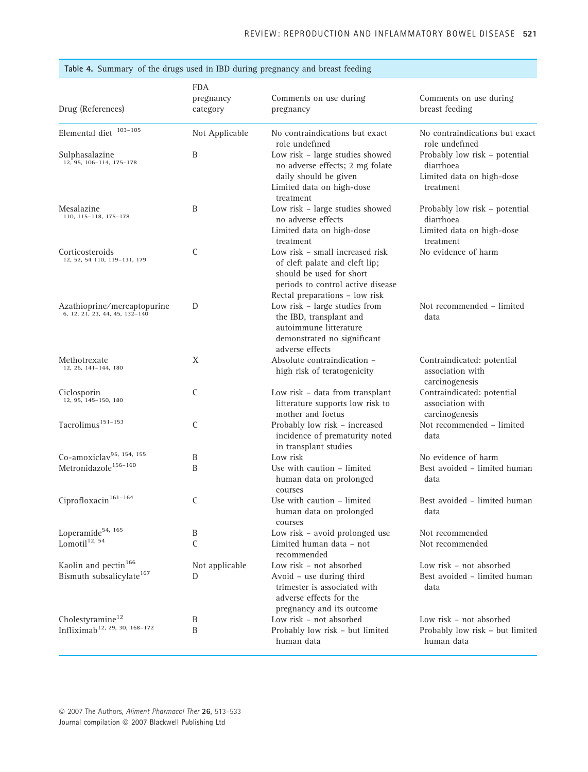| Table 4. Summary of the drugs used in IDD during pregnancy and breast recurrig |                                     |                                                                                                                                                                                   |                                                                                                        |
|--------------------------------------------------------------------------------|-------------------------------------|-----------------------------------------------------------------------------------------------------------------------------------------------------------------------------------|--------------------------------------------------------------------------------------------------------|
| Drug (References)                                                              | <b>FDA</b><br>pregnancy<br>category | Comments on use during<br>pregnancy                                                                                                                                               | Comments on use during<br>breast feeding                                                               |
| Elemental diet 103-105                                                         | Not Applicable                      | No contraindications but exact                                                                                                                                                    | No contraindications but exact                                                                         |
| Sulphasalazine<br>12, 95, 106-114, 175-178                                     | B                                   | role undefined<br>Low risk - large studies showed<br>no adverse effects; 2 mg folate<br>daily should be given<br>Limited data on high-dose<br>treatment                           | role undefined<br>Probably low risk - potential<br>diarrhoea<br>Limited data on high-dose<br>treatment |
| Mesalazine<br>110, 115-118, 175-178                                            | B                                   | Low risk – large studies showed<br>no adverse effects<br>Limited data on high-dose                                                                                                | Probably low risk - potential<br>diarrhoea<br>Limited data on high-dose                                |
| Corticosteroids<br>12, 52, 54 110, 119-131, 179                                | $\mathsf{C}$                        | treatment<br>Low risk - small increased risk<br>of cleft palate and cleft lip;<br>should be used for short<br>periods to control active disease<br>Rectal preparations - low risk | treatment<br>No evidence of harm                                                                       |
| Azathioprine/mercaptopurine<br>6, 12, 21, 23, 44, 45, 132-140                  | D                                   | Low risk - large studies from<br>the IBD, transplant and<br>autoimmune litterature<br>demonstrated no significant<br>adverse effects                                              | Not recommended - limited<br>data                                                                      |
| Methotrexate<br>12, 26, 141-144, 180                                           | X                                   | Absolute contraindication -<br>high risk of teratogenicity                                                                                                                        | Contraindicated: potential<br>association with<br>carcinogenesis                                       |
| Ciclosporin<br>12, 95, 145-150, 180                                            | $\mathsf{C}$                        | Low risk - data from transplant<br>litterature supports low risk to<br>mother and foetus                                                                                          | Contraindicated: potential<br>association with<br>carcinogenesis                                       |
| Tacrolimus <sup>151-153</sup>                                                  | $\mathsf{C}$                        | Probably low risk - increased<br>incidence of prematurity noted<br>in transplant studies                                                                                          | Not recommended - limited<br>data                                                                      |
| Co-amoxiclav95, 154, 155                                                       | B                                   | Low risk                                                                                                                                                                          | No evidence of harm                                                                                    |
| Metronidazole <sup>156-160</sup>                                               | B                                   | Use with caution - limited<br>human data on prolonged<br>courses                                                                                                                  | Best avoided - limited human<br>data                                                                   |
| Ciprofloxacin <sup>161-164</sup>                                               | $\mathsf{C}$                        | Use with caution - limited<br>human data on prolonged<br>courses                                                                                                                  | Best avoided - limited human<br>data                                                                   |
| Loperamide <sup>54, 165</sup>                                                  | B                                   | Low risk - avoid prolonged use                                                                                                                                                    | Not recommended                                                                                        |
| Lomotil <sup>12, 54</sup>                                                      | C                                   | Limited human data - not<br>recommended                                                                                                                                           | Not recommended                                                                                        |
| Kaolin and pectin <sup>166</sup>                                               | Not applicable                      | Low risk - not absorbed                                                                                                                                                           | Low risk – not absorbed                                                                                |
| Bismuth subsalicylate <sup>167</sup>                                           | D                                   | Avoid – use during third                                                                                                                                                          | Best avoided – limited human                                                                           |

trimester is associated with adverse effects for the pregnancy and its outcome

Cholestyramine<sup>12</sup> B<br>
Low risk – not absorbed Low risk – not absorbed Low risk – not absorbed Low risk – not absorbed Low risk – not absorbed Low risk – not absorbed Low risk – not absorbed Probably low risk – but limited B Probably low risk – but limited human data

data

human data

Probably low risk – but limited

# Table 4. Summary of the drugs used in IBD during pregnancy and breast feeding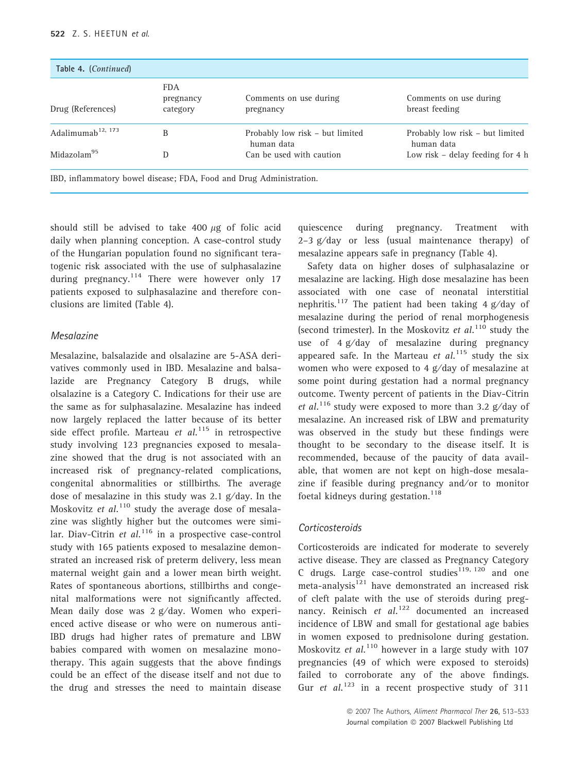| Table 4. (Continued)          |                                     |                                                                     |                                               |
|-------------------------------|-------------------------------------|---------------------------------------------------------------------|-----------------------------------------------|
| Drug (References)             | <b>FDA</b><br>pregnancy<br>category | Comments on use during<br>pregnancy                                 | Comments on use during<br>breast feeding      |
| Adalimumab <sup>12, 173</sup> | B                                   | Probably low risk – but limited<br>human data                       | Probably low risk – but limited<br>human data |
| Midazolam <sup>95</sup>       | D                                   | Can be used with caution                                            | Low risk $-$ delay feeding for 4 h            |
|                               |                                     | IBD, inflammatory bowel disease; FDA, Food and Drug Administration. |                                               |

should still be advised to take 400  $\mu$ g of folic acid daily when planning conception. A case-control study of the Hungarian population found no significant teratogenic risk associated with the use of sulphasalazine during pregnancy. $114$  There were however only 17 patients exposed to sulphasalazine and therefore conclusions are limited (Table 4).

### Mesalazine

Mesalazine, balsalazide and olsalazine are 5-ASA derivatives commonly used in IBD. Mesalazine and balsalazide are Pregnancy Category B drugs, while olsalazine is a Category C. Indications for their use are the same as for sulphasalazine. Mesalazine has indeed now largely replaced the latter because of its better side effect profile. Marteau et  $al.^{115}$  in retrospective study involving 123 pregnancies exposed to mesalazine showed that the drug is not associated with an increased risk of pregnancy-related complications, congenital abnormalities or stillbirths. The average dose of mesalazine in this study was 2.1  $g/day$ . In the Moskovitz et al.<sup>110</sup> study the average dose of mesalazine was slightly higher but the outcomes were similar. Diav-Citrin et  $al.^{116}$  in a prospective case-control study with 165 patients exposed to mesalazine demonstrated an increased risk of preterm delivery, less mean maternal weight gain and a lower mean birth weight. Rates of spontaneous abortions, stillbirths and congenital malformations were not significantly affected. Mean daily dose was 2 g/day. Women who experienced active disease or who were on numerous anti-IBD drugs had higher rates of premature and LBW babies compared with women on mesalazine monotherapy. This again suggests that the above findings could be an effect of the disease itself and not due to the drug and stresses the need to maintain disease quiescence during pregnancy. Treatment with 2–3  $g/day$  or less (usual maintenance therapy) of mesalazine appears safe in pregnancy (Table 4).

Safety data on higher doses of sulphasalazine or mesalazine are lacking. High dose mesalazine has been associated with one case of neonatal interstitial nephritis.<sup>117</sup> The patient had been taking 4  $g$ /day of mesalazine during the period of renal morphogenesis (second trimester). In the Moskovitz et  $al.^{110}$  study the use of  $4 \frac{g}{day}$  of mesalazine during pregnancy appeared safe. In the Marteau et  $al$ ,  $115$  study the six women who were exposed to 4  $g$ /day of mesalazine at some point during gestation had a normal pregnancy outcome. Twenty percent of patients in the Diav-Citrin et al.<sup>116</sup> study were exposed to more than 3.2 g/day of mesalazine. An increased risk of LBW and prematurity was observed in the study but these findings were thought to be secondary to the disease itself. It is recommended, because of the paucity of data available, that women are not kept on high-dose mesalazine if feasible during pregnancy and/or to monitor foetal kidneys during gestation.<sup>118</sup>

### Corticosteroids

Corticosteroids are indicated for moderate to severely active disease. They are classed as Pregnancy Category C drugs. Large case-control studies<sup>119, 120</sup> and one meta-analysis $121$  have demonstrated an increased risk of cleft palate with the use of steroids during pregnancy. Reinisch et  $al.^{122}$  documented an increased incidence of LBW and small for gestational age babies in women exposed to prednisolone during gestation. Moskovitz et  $al.^{110}$  however in a large study with 107 pregnancies (49 of which were exposed to steroids) failed to corroborate any of the above findings. Gur et  $al.^{123}$  in a recent prospective study of 311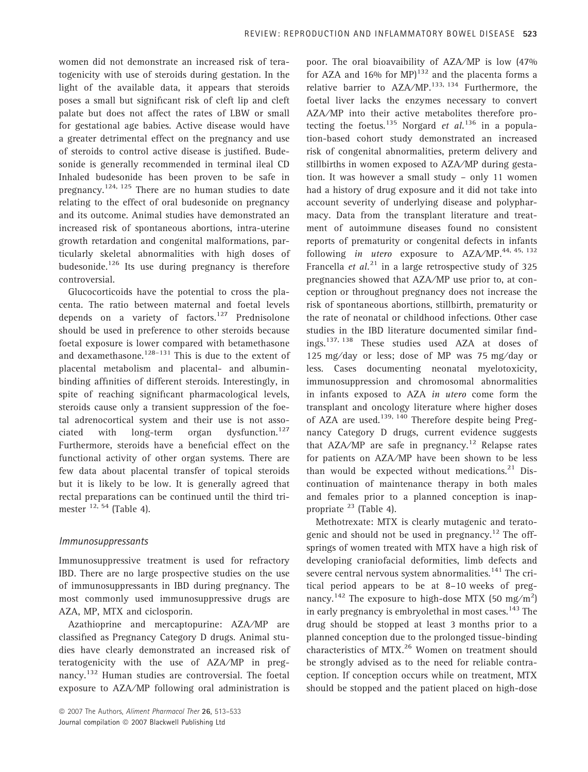women did not demonstrate an increased risk of teratogenicity with use of steroids during gestation. In the light of the available data, it appears that steroids poses a small but significant risk of cleft lip and cleft palate but does not affect the rates of LBW or small for gestational age babies. Active disease would have a greater detrimental effect on the pregnancy and use of steroids to control active disease is justified. Budesonide is generally recommended in terminal ileal CD Inhaled budesonide has been proven to be safe in pregnancy.<sup>124, 125</sup> There are no human studies to date relating to the effect of oral budesonide on pregnancy and its outcome. Animal studies have demonstrated an increased risk of spontaneous abortions, intra-uterine growth retardation and congenital malformations, particularly skeletal abnormalities with high doses of budesonide.<sup>126</sup> Its use during pregnancy is therefore controversial.

Glucocorticoids have the potential to cross the placenta. The ratio between maternal and foetal levels depends on a variety of factors.<sup>127</sup> Prednisolone should be used in preference to other steroids because foetal exposure is lower compared with betamethasone and dexamethasone. $128-131$  This is due to the extent of placental metabolism and placental- and albuminbinding affinities of different steroids. Interestingly, in spite of reaching significant pharmacological levels, steroids cause only a transient suppression of the foetal adrenocortical system and their use is not associated with long-term organ dysfunction.<sup>127</sup> Furthermore, steroids have a beneficial effect on the functional activity of other organ systems. There are few data about placental transfer of topical steroids but it is likely to be low. It is generally agreed that rectal preparations can be continued until the third trimester  $12, 54$  (Table 4).

### Immunosuppressants

Immunosuppressive treatment is used for refractory IBD. There are no large prospective studies on the use of immunosuppressants in IBD during pregnancy. The most commonly used immunosuppressive drugs are AZA, MP, MTX and ciclosporin.

Azathioprine and mercaptopurine: AZA/MP are classified as Pregnancy Category D drugs. Animal studies have clearly demonstrated an increased risk of teratogenicity with the use of AZA/MP in pregnancy.<sup>132</sup> Human studies are controversial. The foetal exposure to AZA⁄ MP following oral administration is

ª 2007 The Authors, Aliment Pharmacol Ther 26, 513–533 Journal compilation ª 2007 Blackwell Publishing Ltd

poor. The oral bioavaibility of AZA/MP is low (47% for AZA and  $16\%$  for MP)<sup>132</sup> and the placenta forms a relative barrier to  $AZA/MP$ <sup>133, 134</sup> Furthermore, the foetal liver lacks the enzymes necessary to convert AZA/MP into their active metabolites therefore protecting the foetus.<sup>135</sup> Norgard et al.<sup>136</sup> in a population-based cohort study demonstrated an increased risk of congenital abnormalities, preterm delivery and stillbirths in women exposed to AZA/MP during gestation. It was however a small study – only 11 women had a history of drug exposure and it did not take into account severity of underlying disease and polypharmacy. Data from the transplant literature and treatment of autoimmune diseases found no consistent reports of prematurity or congenital defects in infants following in utero exposure to  $AZA/MP.^{44, 45, 132}$ Francella *et al.*<sup>21</sup> in a large retrospective study of 325 pregnancies showed that AZA⁄ MP use prior to, at conception or throughout pregnancy does not increase the risk of spontaneous abortions, stillbirth, prematurity or the rate of neonatal or childhood infections. Other case studies in the IBD literature documented similar findings.137, 138 These studies used AZA at doses of 125 mg/day or less; dose of MP was 75 mg/day or less. Cases documenting neonatal myelotoxicity, immunosuppression and chromosomal abnormalities in infants exposed to AZA in utero come form the transplant and oncology literature where higher doses of AZA are used.<sup>139, 140</sup> Therefore despite being Pregnancy Category D drugs, current evidence suggests that AZA/MP are safe in pregnancy.<sup>12</sup> Relapse rates for patients on AZA/MP have been shown to be less than would be expected without medications. $21$  Discontinuation of maintenance therapy in both males and females prior to a planned conception is inappropriate  $^{23}$  (Table 4).

Methotrexate: MTX is clearly mutagenic and teratogenic and should not be used in pregnancy.<sup>12</sup> The offsprings of women treated with MTX have a high risk of developing craniofacial deformities, limb defects and severe central nervous system abnormalities.<sup>141</sup> The critical period appears to be at 8–10 weeks of pregnancy.<sup>142</sup> The exposure to high-dose MTX (50 mg/m<sup>2</sup>) in early pregnancy is embryolethal in most cases. $143$  The drug should be stopped at least 3 months prior to a planned conception due to the prolonged tissue-binding characteristics of MTX.<sup>26</sup> Women on treatment should be strongly advised as to the need for reliable contraception. If conception occurs while on treatment, MTX should be stopped and the patient placed on high-dose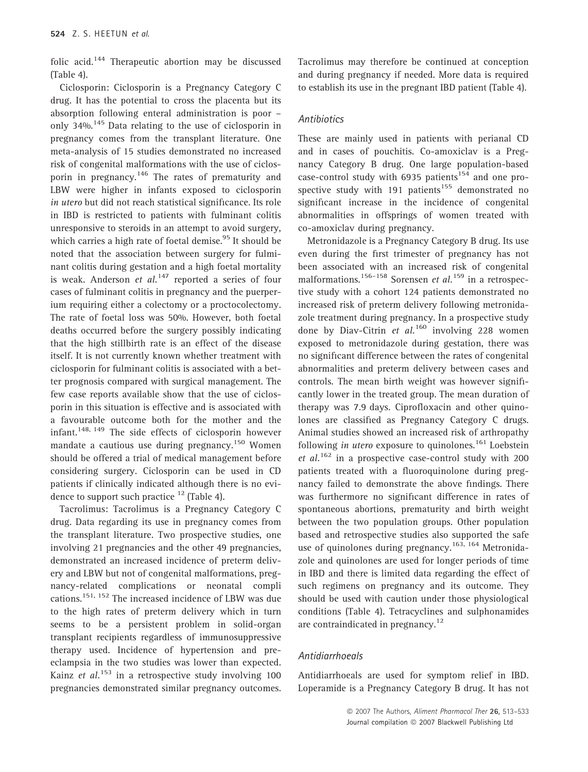folic acid.<sup>144</sup> Therapeutic abortion may be discussed (Table 4).

Ciclosporin: Ciclosporin is a Pregnancy Category C drug. It has the potential to cross the placenta but its absorption following enteral administration is poor – only  $34\%$ .<sup>145</sup> Data relating to the use of ciclosporin in pregnancy comes from the transplant literature. One meta-analysis of 15 studies demonstrated no increased risk of congenital malformations with the use of ciclosporin in pregnancy.<sup>146</sup> The rates of prematurity and LBW were higher in infants exposed to ciclosporin in utero but did not reach statistical significance. Its role in IBD is restricted to patients with fulminant colitis unresponsive to steroids in an attempt to avoid surgery, which carries a high rate of foetal demise.<sup>95</sup> It should be noted that the association between surgery for fulminant colitis during gestation and a high foetal mortality is weak. Anderson et  $al.^{147}$  reported a series of four cases of fulminant colitis in pregnancy and the puerperium requiring either a colectomy or a proctocolectomy. The rate of foetal loss was 50%. However, both foetal deaths occurred before the surgery possibly indicating that the high stillbirth rate is an effect of the disease itself. It is not currently known whether treatment with ciclosporin for fulminant colitis is associated with a better prognosis compared with surgical management. The few case reports available show that the use of ciclosporin in this situation is effective and is associated with a favourable outcome both for the mother and the infant.<sup>148, 149</sup> The side effects of ciclosporin however mandate a cautious use during pregnancy.<sup>150</sup> Women should be offered a trial of medical management before considering surgery. Ciclosporin can be used in CD patients if clinically indicated although there is no evidence to support such practice <sup>12</sup> (Table 4).

Tacrolimus: Tacrolimus is a Pregnancy Category C drug. Data regarding its use in pregnancy comes from the transplant literature. Two prospective studies, one involving 21 pregnancies and the other 49 pregnancies, demonstrated an increased incidence of preterm delivery and LBW but not of congenital malformations, pregnancy-related complications or neonatal compli cations.<sup>151, 152</sup> The increased incidence of LBW was due to the high rates of preterm delivery which in turn seems to be a persistent problem in solid-organ transplant recipients regardless of immunosuppressive therapy used. Incidence of hypertension and preeclampsia in the two studies was lower than expected. Kainz et  $al.^{153}$  in a retrospective study involving 100 pregnancies demonstrated similar pregnancy outcomes. Tacrolimus may therefore be continued at conception and during pregnancy if needed. More data is required to establish its use in the pregnant IBD patient (Table 4).

# Antibiotics

These are mainly used in patients with perianal CD and in cases of pouchitis. Co-amoxiclav is a Pregnancy Category B drug. One large population-based case-control study with 6935 patients<sup>154</sup> and one prospective study with 191 patients<sup>155</sup> demonstrated no significant increase in the incidence of congenital abnormalities in offsprings of women treated with co-amoxiclav during pregnancy.

Metronidazole is a Pregnancy Category B drug. Its use even during the first trimester of pregnancy has not been associated with an increased risk of congenital malformations.<sup>156–158</sup> Sorensen et al.<sup>159</sup> in a retrospective study with a cohort 124 patients demonstrated no increased risk of preterm delivery following metronidazole treatment during pregnancy. In a prospective study done by Diav-Citrin et  $al.^{160}$  involving 228 women exposed to metronidazole during gestation, there was no significant difference between the rates of congenital abnormalities and preterm delivery between cases and controls. The mean birth weight was however significantly lower in the treated group. The mean duration of therapy was 7.9 days. Ciprofloxacin and other quinolones are classified as Pregnancy Category C drugs. Animal studies showed an increased risk of arthropathy following in utero exposure to quinolones.<sup>161</sup> Loebstein et al.<sup>162</sup> in a prospective case-control study with 200 patients treated with a fluoroquinolone during pregnancy failed to demonstrate the above findings. There was furthermore no significant difference in rates of spontaneous abortions, prematurity and birth weight between the two population groups. Other population based and retrospective studies also supported the safe use of quinolones during pregnancy.<sup>163, 164</sup> Metronidazole and quinolones are used for longer periods of time in IBD and there is limited data regarding the effect of such regimens on pregnancy and its outcome. They should be used with caution under those physiological conditions (Table 4). Tetracyclines and sulphonamides are contraindicated in pregnancy.<sup>12</sup>

### Antidiarrhoeals

Antidiarrhoeals are used for symptom relief in IBD. Loperamide is a Pregnancy Category B drug. It has not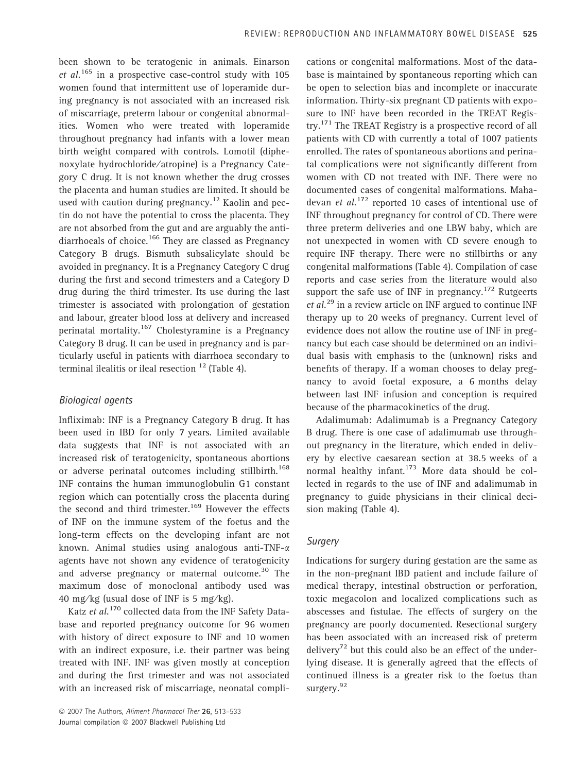been shown to be teratogenic in animals. Einarson et al.<sup>165</sup> in a prospective case-control study with 105 women found that intermittent use of loperamide during pregnancy is not associated with an increased risk of miscarriage, preterm labour or congenital abnormalities. Women who were treated with loperamide throughout pregnancy had infants with a lower mean birth weight compared with controls. Lomotil (diphenoxylate hydrochloride ⁄ atropine) is a Pregnancy Category C drug. It is not known whether the drug crosses the placenta and human studies are limited. It should be used with caution during pregnancy.<sup>12</sup> Kaolin and pectin do not have the potential to cross the placenta. They are not absorbed from the gut and are arguably the antidiarrhoeals of choice.<sup>166</sup> They are classed as Pregnancy Category B drugs. Bismuth subsalicylate should be avoided in pregnancy. It is a Pregnancy Category C drug during the first and second trimesters and a Category D drug during the third trimester. Its use during the last trimester is associated with prolongation of gestation and labour, greater blood loss at delivery and increased perinatal mortality.<sup>167</sup> Cholestyramine is a Pregnancy Category B drug. It can be used in pregnancy and is particularly useful in patients with diarrhoea secondary to terminal ilealitis or ileal resection  $12$  (Table 4).

### Biological agents

Infliximab: INF is a Pregnancy Category B drug. It has been used in IBD for only 7 years. Limited available data suggests that INF is not associated with an increased risk of teratogenicity, spontaneous abortions or adverse perinatal outcomes including stillbirth.<sup>168</sup> INF contains the human immunoglobulin G1 constant region which can potentially cross the placenta during the second and third trimester.<sup>169</sup> However the effects of INF on the immune system of the foetus and the long-term effects on the developing infant are not known. Animal studies using analogous anti-TNF- $\alpha$ agents have not shown any evidence of teratogenicity and adverse pregnancy or maternal outcome.<sup>30</sup> The maximum dose of monoclonal antibody used was 40 mg/kg (usual dose of INF is 5 mg/kg).

Katz et al.<sup>170</sup> collected data from the INF Safety Database and reported pregnancy outcome for 96 women with history of direct exposure to INF and 10 women with an indirect exposure, i.e. their partner was being treated with INF. INF was given mostly at conception and during the first trimester and was not associated with an increased risk of miscarriage, neonatal complications or congenital malformations. Most of the database is maintained by spontaneous reporting which can be open to selection bias and incomplete or inaccurate information. Thirty-six pregnant CD patients with exposure to INF have been recorded in the TREAT Registry.<sup>171</sup> The TREAT Registry is a prospective record of all patients with CD with currently a total of 1007 patients enrolled. The rates of spontaneous abortions and perinatal complications were not significantly different from women with CD not treated with INF. There were no documented cases of congenital malformations. Mahadevan et  $al.^{172}$  reported 10 cases of intentional use of INF throughout pregnancy for control of CD. There were three preterm deliveries and one LBW baby, which are not unexpected in women with CD severe enough to require INF therapy. There were no stillbirths or any congenital malformations (Table 4). Compilation of case reports and case series from the literature would also support the safe use of INF in pregnancy.<sup>172</sup> Rutgeerts et al.<sup>29</sup> in a review article on INF argued to continue INF therapy up to 20 weeks of pregnancy. Current level of evidence does not allow the routine use of INF in pregnancy but each case should be determined on an individual basis with emphasis to the (unknown) risks and benefits of therapy. If a woman chooses to delay pregnancy to avoid foetal exposure, a 6 months delay between last INF infusion and conception is required because of the pharmacokinetics of the drug.

Adalimumab: Adalimumab is a Pregnancy Category B drug. There is one case of adalimumab use throughout pregnancy in the literature, which ended in delivery by elective caesarean section at 38.5 weeks of a normal healthy infant.<sup>173</sup> More data should be collected in regards to the use of INF and adalimumab in pregnancy to guide physicians in their clinical decision making (Table 4).

# Surgery

Indications for surgery during gestation are the same as in the non-pregnant IBD patient and include failure of medical therapy, intestinal obstruction or perforation, toxic megacolon and localized complications such as abscesses and fistulae. The effects of surgery on the pregnancy are poorly documented. Resectional surgery has been associated with an increased risk of preterm delivery<sup>72</sup> but this could also be an effect of the underlying disease. It is generally agreed that the effects of continued illness is a greater risk to the foetus than surgery.<sup>92</sup>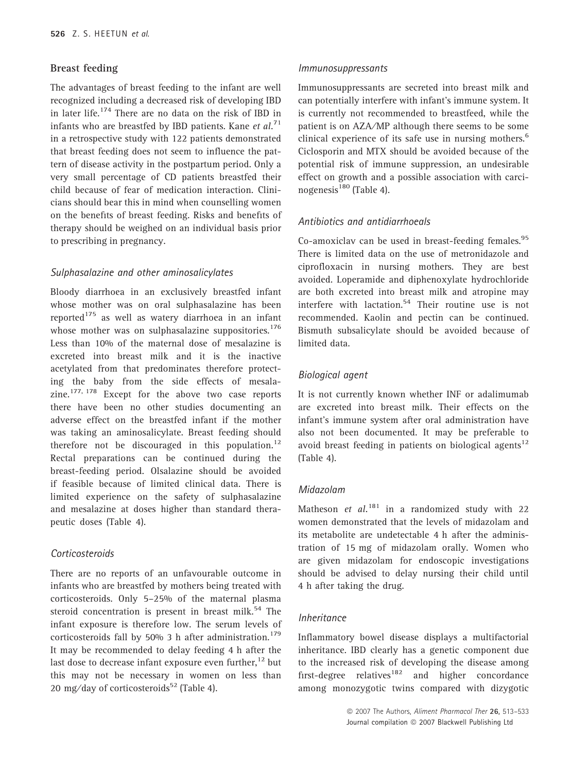### Breast feeding

The advantages of breast feeding to the infant are well recognized including a decreased risk of developing IBD in later life.<sup>174</sup> There are no data on the risk of IBD in infants who are breastfed by IBD patients. Kane et  $al^{71}$ in a retrospective study with 122 patients demonstrated that breast feeding does not seem to influence the pattern of disease activity in the postpartum period. Only a very small percentage of CD patients breastfed their child because of fear of medication interaction. Clinicians should bear this in mind when counselling women on the benefits of breast feeding. Risks and benefits of therapy should be weighed on an individual basis prior to prescribing in pregnancy.

# Sulphasalazine and other aminosalicylates

Bloody diarrhoea in an exclusively breastfed infant whose mother was on oral sulphasalazine has been reported $175$  as well as watery diarrhoea in an infant whose mother was on sulphasalazine suppositories.<sup>176</sup> Less than 10% of the maternal dose of mesalazine is excreted into breast milk and it is the inactive acetylated from that predominates therefore protecting the baby from the side effects of mesalazine. $177, 178$  Except for the above two case reports there have been no other studies documenting an adverse effect on the breastfed infant if the mother was taking an aminosalicylate. Breast feeding should therefore not be discouraged in this population.<sup>12</sup> Rectal preparations can be continued during the breast-feeding period. Olsalazine should be avoided if feasible because of limited clinical data. There is limited experience on the safety of sulphasalazine and mesalazine at doses higher than standard therapeutic doses (Table 4).

# **Corticosteroids**

There are no reports of an unfavourable outcome in infants who are breastfed by mothers being treated with corticosteroids. Only 5–25% of the maternal plasma steroid concentration is present in breast milk.<sup>54</sup> The infant exposure is therefore low. The serum levels of corticosteroids fall by 50% 3 h after administration.<sup>179</sup> It may be recommended to delay feeding 4 h after the last dose to decrease infant exposure even further, $^{12}$  but this may not be necessary in women on less than 20 mg/day of corticosteroids<sup>52</sup> (Table 4).

### Immunosuppressants

Immunosuppressants are secreted into breast milk and can potentially interfere with infant's immune system. It is currently not recommended to breastfeed, while the patient is on AZA⁄ MP although there seems to be some clinical experience of its safe use in nursing mothers.<sup>6</sup> Ciclosporin and MTX should be avoided because of the potential risk of immune suppression, an undesirable effect on growth and a possible association with carcinogenesis $180$  (Table 4).

### Antibiotics and antidiarrhoeals

Co-amoxiclay can be used in breast-feeding females.<sup>95</sup> There is limited data on the use of metronidazole and ciprofloxacin in nursing mothers. They are best avoided. Loperamide and diphenoxylate hydrochloride are both excreted into breast milk and atropine may interfere with lactation.<sup>54</sup> Their routine use is not recommended. Kaolin and pectin can be continued. Bismuth subsalicylate should be avoided because of limited data.

# Biological agent

It is not currently known whether INF or adalimumab are excreted into breast milk. Their effects on the infant's immune system after oral administration have also not been documented. It may be preferable to avoid breast feeding in patients on biological agents<sup>12</sup> (Table 4).

### Midazolam

Matheson et  $al.^{181}$  in a randomized study with 22 women demonstrated that the levels of midazolam and its metabolite are undetectable 4 h after the administration of 15 mg of midazolam orally. Women who are given midazolam for endoscopic investigations should be advised to delay nursing their child until 4 h after taking the drug.

### Inheritance

Inflammatory bowel disease displays a multifactorial inheritance. IBD clearly has a genetic component due to the increased risk of developing the disease among first-degree relatives $182$  and higher concordance among monozygotic twins compared with dizygotic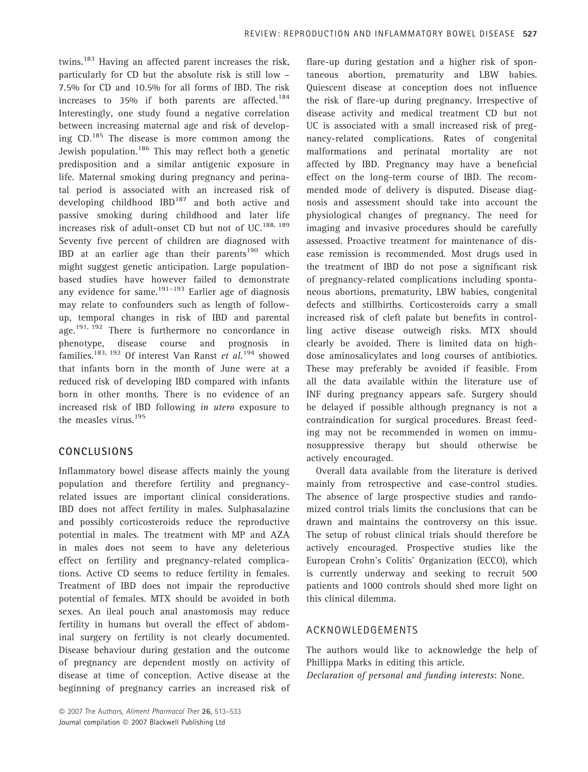twins.<sup>183</sup> Having an affected parent increases the risk, particularly for CD but the absolute risk is still low – 7.5% for CD and 10.5% for all forms of IBD. The risk increases to 35% if both parents are affected.<sup>184</sup> Interestingly, one study found a negative correlation between increasing maternal age and risk of developing  $CD.^{185}$  The disease is more common among the Jewish population.<sup>186</sup> This may reflect both a genetic predisposition and a similar antigenic exposure in life. Maternal smoking during pregnancy and perinatal period is associated with an increased risk of developing childhood  $IBD<sup>187</sup>$  and both active and passive smoking during childhood and later life increases risk of adult-onset CD but not of UC.188, 189 Seventy five percent of children are diagnosed with IBD at an earlier age than their parents<sup>190</sup> which might suggest genetic anticipation. Large populationbased studies have however failed to demonstrate any evidence for same. $191-193$  Earlier age of diagnosis may relate to confounders such as length of followup, temporal changes in risk of IBD and parental age.<sup>191, 192</sup> There is furthermore no concordance in phenotype, disease course and prognosis in families.<sup>183, 192</sup> Of interest Van Ranst et al.<sup>194</sup> showed that infants born in the month of June were at a reduced risk of developing IBD compared with infants born in other months. There is no evidence of an increased risk of IBD following in utero exposure to the measles virus.<sup>195</sup>

# **CONCLUSIONS**

Inflammatory bowel disease affects mainly the young population and therefore fertility and pregnancyrelated issues are important clinical considerations. IBD does not affect fertility in males. Sulphasalazine and possibly corticosteroids reduce the reproductive potential in males. The treatment with MP and AZA in males does not seem to have any deleterious effect on fertility and pregnancy-related complications. Active CD seems to reduce fertility in females. Treatment of IBD does not impair the reproductive potential of females. MTX should be avoided in both sexes. An ileal pouch anal anastomosis may reduce fertility in humans but overall the effect of abdominal surgery on fertility is not clearly documented. Disease behaviour during gestation and the outcome of pregnancy are dependent mostly on activity of disease at time of conception. Active disease at the beginning of pregnancy carries an increased risk of flare-up during gestation and a higher risk of spontaneous abortion, prematurity and LBW babies. Quiescent disease at conception does not influence the risk of flare-up during pregnancy. Irrespective of disease activity and medical treatment CD but not UC is associated with a small increased risk of pregnancy-related complications. Rates of congenital malformations and perinatal mortality are not affected by IBD. Pregnancy may have a beneficial effect on the long-term course of IBD. The recommended mode of delivery is disputed. Disease diagnosis and assessment should take into account the physiological changes of pregnancy. The need for imaging and invasive procedures should be carefully assessed. Proactive treatment for maintenance of disease remission is recommended. Most drugs used in the treatment of IBD do not pose a significant risk of pregnancy-related complications including spontaneous abortions, prematurity, LBW babies, congenital defects and stillbirths. Corticosteroids carry a small increased risk of cleft palate but benefits in controlling active disease outweigh risks. MTX should clearly be avoided. There is limited data on highdose aminosalicylates and long courses of antibiotics. These may preferably be avoided if feasible. From all the data available within the literature use of INF during pregnancy appears safe. Surgery should be delayed if possible although pregnancy is not a contraindication for surgical procedures. Breast feeding may not be recommended in women on immunosuppressive therapy but should otherwise be actively encouraged.

Overall data available from the literature is derived mainly from retrospective and case-control studies. The absence of large prospective studies and randomized control trials limits the conclusions that can be drawn and maintains the controversy on this issue. The setup of robust clinical trials should therefore be actively encouraged. Prospective studies like the European Crohn's Colitis' Organization (ECCO), which is currently underway and seeking to recruit 500 patients and 1000 controls should shed more light on this clinical dilemma.

### ACKNOWLEDGEMENTS

The authors would like to acknowledge the help of Phillippa Marks in editing this article.

Declaration of personal and funding interests: None.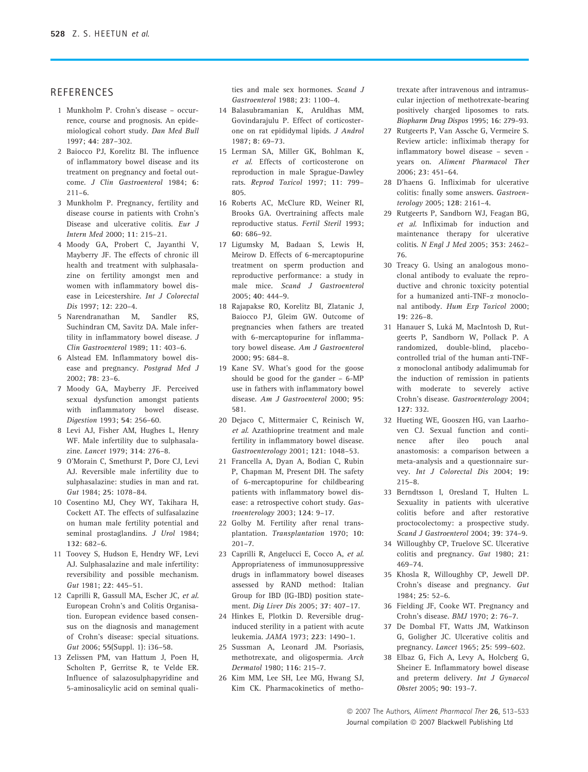### **REFERENCES**

- 1 Munkholm P. Crohn's disease occurrence, course and prognosis. An epidemiological cohort study. Dan Med Bull 1997; 44: 287–302.
- 2 Baiocco PJ, Korelitz BI. The influence of inflammatory bowel disease and its treatment on pregnancy and foetal outcome. J Clin Gastroenterol 1984; 6:  $211-6.$
- 3 Munkholm P. Pregnancy, fertility and disease course in patients with Crohn's Disease and ulcerative colitis. Eur J Intern Med 2000; 11: 215–21.
- 4 Moody GA, Probert C, Jayanthi V, Mayberry JF. The effects of chronic ill health and treatment with sulphasalazine on fertility amongst men and women with inflammatory bowel disease in Leicestershire. Int J Colorectal Dis 1997; 12: 220–4.
- 5 Narendranathan M, Sandler RS, Suchindran CM, Savitz DA. Male infertility in inflammatory bowel disease. J Clin Gastroenterol 1989; 11: 403–6.
- 6 Alstead EM. Inflammatory bowel disease and pregnancy. Postgrad Med J 2002; 78: 23–6.
- 7 Moody GA, Mayberry JF. Perceived sexual dysfunction amongst patients with inflammatory bowel disease. Digestion 1993; 54: 256–60.
- 8 Levi AJ, Fisher AM, Hughes L, Henry WF. Male infertility due to sulphasalazine. Lancet 1979; 314: 276–8.
- 9 O'Morain C, Smethurst P, Dore CJ, Levi AJ. Reversible male infertility due to sulphasalazine: studies in man and rat. Gut 1984; 25: 1078–84.
- 10 Cosentino MJ, Chey WY, Takihara H, Cockett AT. The effects of sulfasalazine on human male fertility potential and seminal prostaglandins. J Urol 1984; 132: 682–6.
- 11 Toovey S, Hudson E, Hendry WF, Levi AJ. Sulphasalazine and male infertility: reversibility and possible mechanism. Gut 1981; 22: 445–51.
- 12 Caprilli R, Gassull MA, Escher JC, et al. European Crohn's and Colitis Organisation. European evidence based consensus on the diagnosis and management of Crohn's disease: special situations. Gut 2006; 55(Suppl. 1): i36–58.
- 13 Zelissen PM, van Hattum J, Poen H, Scholten P, Gerritse R, te Velde ER. Influence of salazosulphapyridine and 5-aminosalicylic acid on seminal quali-

ties and male sex hormones. Scand J Gastroenterol 1988; 23: 1100–4.

- 14 Balasubramanian K, Aruldhas MM, Govindarajulu P. Effect of corticosterone on rat epididymal lipids. J Androl 1987; 8: 69–73.
- 15 Lerman SA, Miller GK, Bohlman K, et al. Effects of corticosterone on reproduction in male Sprague-Dawley rats. Reprod Toxicol 1997; 11: 799– 805.
- 16 Roberts AC, McClure RD, Weiner RI, Brooks GA. Overtraining affects male reproductive status. Fertil Steril 1993; 60: 686–92.
- 17 Ligumsky M, Badaan S, Lewis H, Meirow D. Effects of 6-mercaptopurine treatment on sperm production and reproductive performance: a study in male mice. Scand J Gastroenterol 2005; 40: 444–9.
- 18 Rajapakse RO, Korelitz BI, Zlatanic J, Baiocco PJ, Gleim GW. Outcome of pregnancies when fathers are treated with 6-mercaptopurine for inflammatory bowel disease. Am J Gastroenterol 2000; 95: 684–8.
- 19 Kane SV. What's good for the goose should be good for the gander – 6-MP use in fathers with inflammatory bowel disease. Am J Gastroenterol 2000; 95: 581.
- 20 Dejaco C, Mittermaier C, Reinisch W, et al. Azathioprine treatment and male fertility in inflammatory bowel disease. Gastroenterology 2001; 121: 1048–53.
- 21 Francella A, Dyan A, Bodian C, Rubin P, Chapman M, Present DH. The safety of 6-mercaptopurine for childbearing patients with inflammatory bowel disease: a retrospective cohort study. Gastroenterology 2003; 124: 9–17.
- 22 Golby M. Fertility after renal transplantation. Transplantation 1970; 10:  $201 - 7$ .
- 23 Caprilli R, Angelucci E, Cocco A, et al. Appropriateness of immunosuppressive drugs in inflammatory bowel diseases assessed by RAND method: Italian Group for IBD (IG-IBD) position statement. Dig Liver Dis 2005; 37: 407–17.
- 24 Hinkes E, Plotkin D. Reversible druginduced sterility in a patient with acute leukemia. JAMA 1973; 223: 1490–1.
- 25 Sussman A, Leonard JM. Psoriasis, methotrexate, and oligospermia. Arch Dermatol 1980; 116: 215–7.
- 26 Kim MM, Lee SH, Lee MG, Hwang SJ, Kim CK. Pharmacokinetics of metho-

trexate after intravenous and intramuscular injection of methotrexate-bearing positively charged liposomes to rats. Biopharm Drug Dispos 1995; 16: 279–93.

- 27 Rutgeerts P, Van Assche G, Vermeire S. Review article: infliximab therapy for inflammatory bowel disease – seven years on. Aliment Pharmacol Ther 2006; 23: 451–64.
- 28 D'haens G. Infliximab for ulcerative colitis: finally some answers. Gastroenterology 2005; 128: 2161–4.
- 29 Rutgeerts P, Sandborn WJ, Feagan BG, et al. Infliximab for induction and maintenance therapy for ulcerative colitis. N Engl J Med 2005; 353: 2462– 76.
- 30 Treacy G. Using an analogous monoclonal antibody to evaluate the reproductive and chronic toxicity potential for a humanized anti-TNF-a monoclonal antibody. Hum Exp Toxicol 2000; 19: 226–8.
- 31 Hanauer S, Luká M, MacIntosh D, Rutgeerts P, Sandborn W, Pollack P. A randomized, double-blind, placebocontrolled trial of the human anti-TNFa monoclonal antibody adalimumab for the induction of remission in patients with moderate to severely active Crohn's disease. Gastroenterology 2004; 127: 332.
- 32 Hueting WE, Gooszen HG, van Laarhoven CJ. Sexual function and continence after ileo pouch anal anastomosis: a comparison between a meta-analysis and a questionnaire survey. Int J Colorectal Dis 2004; 19: 215–8.
- 33 Berndtsson I, Oresland T, Hulten L. Sexuality in patients with ulcerative colitis before and after restorative proctocolectomy: a prospective study. Scand J Gastroenterol 2004; 39: 374–9.
- 34 Willoughby CP, Truelove SC. Ulcerative colitis and pregnancy. Gut 1980; 21: 469–74.
- 35 Khosla R, Willoughby CP, Jewell DP. Crohn's disease and pregnancy. Gut 1984; 25: 52–6.
- 36 Fielding JF, Cooke WT. Pregnancy and Crohn's disease. BMJ 1970; 2: 76–7.
- 37 De Dombal FT, Watts JM, Watkinson G, Goligher JC. Ulcerative colitis and pregnancy. Lancet 1965; 25: 599–602.
- 38 Elbaz G, Fich A, Levy A, Holcberg G, Sheiner E. Inflammatory bowel disease and preterm delivery. Int J Gynaecol Obstet 2005; 90: 193–7.

© 2007 The Authors, Aliment Pharmacol Ther 26, 513-533 Journal compilation @ 2007 Blackwell Publishing Ltd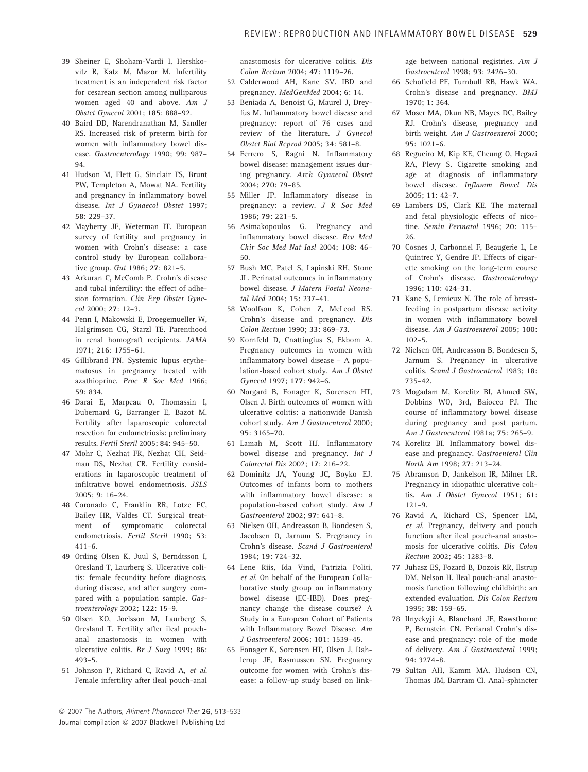- 39 Sheiner E, Shoham-Vardi I, Hershkovitz R, Katz M, Mazor M. Infertility treatment is an independent risk factor for cesarean section among nulliparous women aged 40 and above. Am J Obstet Gynecol 2001; 185: 888–92.
- 40 Baird DD, Narendranathan M, Sandler RS. Increased risk of preterm birth for women with inflammatory bowel disease. Gastroenterology 1990; 99: 987– 94.
- 41 Hudson M, Flett G, Sinclair TS, Brunt PW, Templeton A, Mowat NA. Fertility and pregnancy in inflammatory bowel disease. Int J Gynaecol Obstet 1997; 58: 229–37.
- 42 Mayberry JF, Weterman IT. European survey of fertility and pregnancy in women with Crohn's disease: a case control study by European collaborative group. Gut 1986; 27: 821–5.
- 43 Arkuran C, McComb P. Crohn's disease and tubal infertility: the effect of adhesion formation. Clin Exp Obstet Gynecol 2000; 27: 12–3.
- 44 Penn I, Makowski E, Droegemueller W, Halgrimson CG, Starzl TE. Parenthood in renal homograft recipients. JAMA 1971; 216: 1755–61.
- 45 Gillibrand PN. Systemic lupus erythematosus in pregnancy treated with azathioprine. Proc R Soc Med 1966; 59: 834.
- 46 Darai E, Marpeau O, Thomassin I, Dubernard G, Barranger E, Bazot M. Fertility after laparoscopic colorectal resection for endometriosis: preliminary results. Fertil Steril 2005; 84: 945–50.
- 47 Mohr C, Nezhat FR, Nezhat CH, Seidman DS, Nezhat CR. Fertility considerations in laparoscopic treatment of infiltrative bowel endometriosis. JSLS 2005; 9: 16–24.
- 48 Coronado C, Franklin RR, Lotze EC, Bailey HR, Valdes CT. Surgical treatment of symptomatic colorectal endometriosis. Fertil Steril 1990; 53:  $411 - 6$ .
- 49 Ording Olsen K, Juul S, Berndtsson I, Oresland T, Laurberg S. Ulcerative colitis: female fecundity before diagnosis, during disease, and after surgery compared with a population sample. Gastroenterology 2002; 122: 15–9.
- 50 Olsen KO, Joelsson M, Laurberg S, Oresland T. Fertility after ileal pouchanal anastomosis in women with ulcerative colitis. Br J Surg 1999; 86: 493–5.
- 51 Johnson P, Richard C, Ravid A, et al. Female infertility after ileal pouch-anal

anastomosis for ulcerative colitis. Dis Colon Rectum 2004; 47: 1119–26.

- 52 Calderwood AH, Kane SV. IBD and pregnancy. MedGenMed 2004; 6: 14.
- 53 Beniada A, Benoist G, Maurel J, Dreyfus M. Inflammatory bowel disease and pregnancy: report of 76 cases and review of the literature. J Gynecol Obstet Biol Reprod 2005; 34: 581–8.
- 54 Ferrero S, Ragni N. Inflammatory bowel disease: management issues during pregnancy. Arch Gynaecol Obstet 2004; 270: 79–85.
- 55 Miller JP. Inflammatory disease in pregnancy: a review. J R Soc Med 1986; 79: 221–5.
- 56 Asimakopoulos G. Pregnancy and inflammatory bowel disease. Rev Med Chir Soc Med Nat Iasl 2004; 108: 46– 50.
- 57 Bush MC, Patel S, Lapinski RH, Stone JL. Perinatal outcomes in inflammatory bowel disease. J Matern Foetal Neonatal Med 2004; 15: 237–41.
- 58 Woolfson K, Cohen Z, McLeod RS. Crohn's disease and pregnancy. Dis Colon Rectum 1990; 33: 869–73.
- 59 Kornfeld D, Cnattingius S, Ekbom A. Pregnancy outcomes in women with inflammatory bowel disease – A population-based cohort study. Am J Obstet Gynecol 1997; 177: 942–6.
- 60 Norgard B, Fonager K, Sorensen HT, Olsen J. Birth outcomes of women with ulcerative colitis: a nationwide Danish cohort study. Am J Gastroenterol 2000; 95: 3165–70.
- 61 Lamah M, Scott HJ. Inflammatory bowel disease and pregnancy. Int J Colorectal Dis 2002; 17: 216–22.
- 62 Dominitz JA, Young JC, Boyko EJ. Outcomes of infants born to mothers with inflammatory bowel disease: a population-based cohort study. Am J Gastroenterol 2002; 97: 641–8.
- 63 Nielsen OH, Andreasson B, Bondesen S, Jacobsen O, Jarnum S. Pregnancy in Crohn's disease. Scand J Gastroenterol 1984; 19: 724–32.
- 64 Lene Riis, Ida Vind, Patrizia Politi, et al. On behalf of the European Collaborative study group on inflammatory bowel disease (EC-IBD). Does pregnancy change the disease course? A Study in a European Cohort of Patients with Inflammatory Bowel Disease. Am J Gastroenterol 2006; 101: 1539–45.
- 65 Fonager K, Sorensen HT, Olsen J, Dahlerup JF, Rasmussen SN. Pregnancy outcome for women with Crohn's disease: a follow-up study based on link-

age between national registries. Am J Gastroenterol 1998; 93: 2426–30.

- 66 Schofield PF, Turnbull RB, Hawk WA. Crohn's disease and pregnancy. BMJ 1970; 1: 364.
- 67 Moser MA, Okun NB, Mayes DC, Bailey RJ. Crohn's disease, pregnancy and birth weight. Am J Gastroenterol 2000; 95: 1021–6.
- 68 Regueiro M, Kip KE, Cheung O, Hegazi RA, Plevy S. Cigarette smoking and age at diagnosis of inflammatory bowel disease. Inflamm Bowel Dis 2005; 11: 42–7.
- 69 Lambers DS, Clark KE. The maternal and fetal physiologic effects of nicotine. Semin Perinatol 1996; 20: 115– 26.
- 70 Cosnes J, Carbonnel F, Beaugerie L, Le Quintrec Y, Gendre JP. Effects of cigarette smoking on the long-term course of Crohn's disease. Gastroenterology 1996; 110: 424–31.
- 71 Kane S, Lemieux N. The role of breastfeeding in postpartum disease activity in women with inflammatory bowel disease. Am J Gastroenterol 2005; 100:  $102 - 5$
- 72 Nielsen OH, Andreasson B, Bondesen S, Jarnum S. Pregnancy in ulcerative colitis. Scand J Gastroenterol 1983; 18: 735–42.
- 73 Mogadam M, Korelitz BI, Ahmed SW, Dobbins WO, 3rd, Baiocco PJ. The course of inflammatory bowel disease during pregnancy and post partum. Am J Gastroenterol 1981a; 75: 265–9.
- 74 Korelitz BI. Inflammatory bowel disease and pregnancy. Gastroenterol Clin North Am 1998; 27: 213–24.
- 75 Abramson D, Jankelson IR, Milner LR. Pregnancy in idiopathic ulcerative colitis. Am J Obstet Gynecol 1951; 61:  $121 - 9$ .
- 76 Ravid A, Richard CS, Spencer LM, et al. Pregnancy, delivery and pouch function after ileal pouch-anal anastomosis for ulcerative colitis. Dis Colon Rectum 2002; 45: 1283–8.
- 77 Juhasz ES, Fozard B, Dozois RR, Ilstrup DM, Nelson H. Ileal pouch-anal anastomosis function following childbirth: an extended evaluation. Dis Colon Rectum 1995; 38: 159–65.
- 78 Ilnyckyji A, Blanchard JF, Rawsthorne P, Bernstein CN. Perianal Crohn's disease and pregnancy: role of the mode of delivery. Am J Gastroenterol 1999; 94: 3274–8.
- 79 Sultan AH, Kamm MA, Hudson CN, Thomas JM, Bartram CI. Anal-sphincter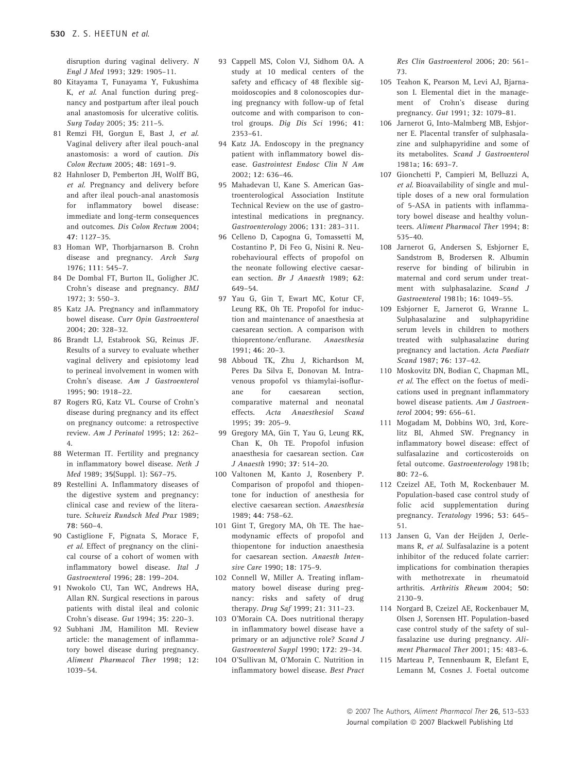disruption during vaginal delivery. N Engl J Med 1993; 329: 1905–11.

- 80 Kitayama T, Funayama Y, Fukushima K, et al. Anal function during pregnancy and postpartum after ileal pouch anal anastomosis for ulcerative colitis. Surg Today 2005; 35: 211–5.
- 81 Remzi FH, Gorgun E, Bast J, et al. Vaginal delivery after ileal pouch-anal anastomosis: a word of caution. Dis Colon Rectum 2005; 48: 1691–9.
- 82 Hahnloser D, Pemberton JH, Wolff BG, et al. Pregnancy and delivery before and after ileal pouch-anal anastomosis for inflammatory bowel disease: immediate and long-term consequences and outcomes. Dis Colon Rectum 2004; 47: 1127–35.
- 83 Homan WP, Thorbjarnarson B. Crohn disease and pregnancy. Arch Surg 1976; 111: 545–7.
- 84 De Dombal FT, Burton IL, Goligher JC. Crohn's disease and pregnancy. BMJ 1972; 3: 550–3.
- 85 Katz JA. Pregnancy and inflammatory bowel disease. Curr Opin Gastroenterol 2004; 20: 328–32.
- 86 Brandt LJ, Estabrook SG, Reinus JF. Results of a survey to evaluate whether vaginal delivery and episiotomy lead to perineal involvement in women with Crohn's disease. Am J Gastroenterol 1995; 90: 1918–22.
- 87 Rogers RG, Katz VL. Course of Crohn's disease during pregnancy and its effect on pregnancy outcome: a retrospective review. Am J Perinatol 1995; 12: 262– 4.
- 88 Weterman IT. Fertility and pregnancy in inflammatory bowel disease. Neth J Med 1989; 35(Suppl. 1): S67–75.
- 89 Restellini A. Inflammatory diseases of the digestive system and pregnancy: clinical case and review of the literature. Schweiz Rundsch Med Prax 1989; 78: 560–4.
- 90 Castiglione F, Pignata S, Morace F, et al. Effect of pregnancy on the clinical course of a cohort of women with inflammatory bowel disease. Ital J Gastroenterol 1996; 28: 199–204.
- 91 Nwokolo CU, Tan WC, Andrews HA, Allan RN. Surgical resections in parous patients with distal ileal and colonic Crohn's disease. Gut 1994; 35: 220–3.
- 92 Subhani JM, Hamiliton MI. Review article: the management of inflammatory bowel disease during pregnancy. Aliment Pharmacol Ther 1998; 12: 1039–54.
- 93 Cappell MS, Colon VJ, Sidhom OA. A study at 10 medical centers of the safety and efficacy of 48 flexible sigmoidoscopies and 8 colonoscopies during pregnancy with follow-up of fetal outcome and with comparison to control groups. Dig Dis Sci 1996; 41: 2353–61.
- 94 Katz JA. Endoscopy in the pregnancy patient with inflammatory bowel disease. Gastrointest Endosc Clin N Am 2002; 12: 636–46.
- 95 Mahadevan U, Kane S. American Gastroenterological Association Institute Technical Review on the use of gastrointestinal medications in pregnancy. Gastroenterology 2006; 131: 283–311.
- 96 Celleno D, Capogna G, Tomassetti M, Costantino P, Di Feo G, Nisini R. Neurobehavioural effects of propofol on the neonate following elective caesarean section. Br J Anaesth 1989; 62: 649–54.
- 97 Yau G, Gin T, Ewart MC, Kotur CF, Leung RK, Oh TE. Propofol for induction and maintenance of anaesthesia at caesarean section. A comparison with thioprentone/enflurane. Anaesthesia 1991; 46: 20–3.
- 98 Abboud TK, Zhu J, Richardson M, Peres Da Silva E, Donovan M. Intravenous propofol vs thiamylai-isoflurane for caesarean section, comparative maternal and neonatal effects. Acta Anaesthesiol Scand 1995; 39: 205–9.
- 99 Gregory MA, Gin T, Yau G, Leung RK, Chan K, Oh TE. Propofol infusion anaesthesia for caesarean section. Can J Anaesth 1990; 37: 514–20.
- 100 Valtonen M, Kanto J, Rosenbery P. Comparison of propofol and thiopentone for induction of anesthesia for elective caesarean section. Anaesthesia 1989; 44: 758–62.
- 101 Gint T, Gregory MA, Oh TE. The haemodynamic effects of propofol and thiopentone for induction anaesthesia for caesarean section. Anaesth Intensive Care 1990; 18: 175–9.
- 102 Connell W, Miller A. Treating inflammatory bowel disease during pregnancy: risks and safety of drug therapy. Drug Saf 1999; 21: 311–23.
- 103 O'Morain CA. Does nutritional therapy in inflammatory bowel disease have a primary or an adjunctive role? Scand J Gastroenterol Suppl 1990; 172: 29–34.
- 104 O'Sullivan M, O'Morain C. Nutrition in inflammatory bowel disease. Best Pract

Res Clin Gastroenterol 2006; 20: 561– 73.

- 105 Teahon K, Pearson M, Levi AJ, Bjarnason I. Elemental diet in the management of Crohn's disease during pregnancy. Gut 1991; 32: 1079–81.
- 106 Jarnerot G, Into-Malmberg MB, Esbjorner E. Placental transfer of sulphasalazine and sulphapyridine and some of its metabolites. Scand J Gastroenterol 1981a; 16: 693–7.
- 107 Gionchetti P, Campieri M, Belluzzi A, et al. Bioavailability of single and multiple doses of a new oral formulation of 5-ASA in patients with inflammatory bowel disease and healthy volunteers. Aliment Pharmacol Ther 1994; 8: 535–40.
- 108 Jarnerot G, Andersen S, Esbjorner E, Sandstrom B, Brodersen R. Albumin reserve for binding of bilirubin in maternal and cord serum under treatment with sulphasalazine. Scand J Gastroenterol 1981b; 16: 1049–55.
- 109 Esbjorner E, Jarnerot G, Wranne L. Sulphasalazine and sulphapyridine serum levels in children to mothers treated with sulphasalazine during pregnancy and lactation. Acta Paediatr Scand 1987; 76: 137–42.
- 110 Moskovitz DN, Bodian C, Chapman ML, et al. The effect on the foetus of medications used in pregnant inflammatory bowel disease patients. Am J Gastroenterol 2004; 99: 656–61.
- 111 Mogadam M, Dobbins WO, 3rd, Korelitz BI, Ahmed SW. Pregnancy in inflammatory bowel disease: effect of sulfasalazine and corticosteroids on fetal outcome. Gastroenterology 1981b; 80: 72–6.
- 112 Czeizel AE, Toth M, Rockenbauer M. Population-based case control study of folic acid supplementation during pregnancy. Teratology 1996; 53: 645– 51.
- 113 Jansen G, Van der Heijden J, Oerlemans R, et al. Sulfasalazine is a potent inhibitor of the reduced folate carrier: implications for combination therapies with methotrexate in rheumatoid arthritis. Arthritis Rheum 2004; 50: 2130–9.
- 114 Norgard B, Czeizel AE, Rockenbauer M, Olsen J, Sorensen HT. Population-based case control study of the safety of sulfasalazine use during pregnancy. Aliment Pharmacol Ther 2001; 15: 483–6.
- 115 Marteau P, Tennenbaum R, Elefant E, Lemann M, Cosnes J. Foetal outcome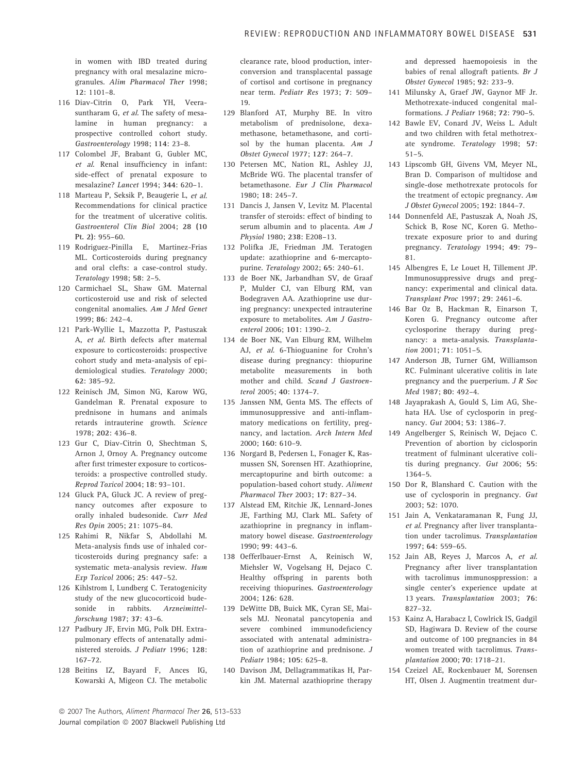in women with IBD treated during pregnancy with oral mesalazine microgranules. Alim Pharmacol Ther 1998;  $12 \cdot 1101 - 8$ 

- 116 Diav-Citrin O, Park YH, Veerasuntharam G, et al. The safety of mesalamine in human pregnancy: a prospective controlled cohort study. Gastroenterology 1998; 114: 23–8.
- 117 Colombel JF, Brabant G, Gubler MC, et al. Renal insufficiency in infant: side-effect of prenatal exposure to mesalazine? Lancet 1994; 344: 620–1.
- 118 Marteau P, Seksik P, Beaugerie L, et al. Recommendations for clinical practice for the treatment of ulcerative colitis. Gastroenterol Clin Biol 2004; 28 (10 Pt. 2): 955–60.
- 119 Rodriguez-Pinilla E, Martinez-Frias ML. Corticosteroids during pregnancy and oral clefts: a case-control study. Teratology 1998; 58: 2–5.
- 120 Carmichael SL, Shaw GM. Maternal corticosteroid use and risk of selected congenital anomalies. Am J Med Genet 1999; 86: 242–4.
- 121 Park-Wyllie L, Mazzotta P, Pastuszak A, et al. Birth defects after maternal exposure to corticosteroids: prospective cohort study and meta-analysis of epidemiological studies. Teratology 2000; 62: 385–92.
- 122 Reinisch JM, Simon NG, Karow WG, Gandelman R. Prenatal exposure to prednisone in humans and animals retards intrauterine growth. Science 1978; 202: 436–8.
- 123 Gur C, Diav-Citrin O, Shechtman S, Arnon J, Ornoy A. Pregnancy outcome after first trimester exposure to corticosteroids: a prospective controlled study. Reprod Toxicol 2004; 18: 93–101.
- 124 Gluck PA, Gluck JC. A review of pregnancy outcomes after exposure to orally inhaled budesonide. Curr Med Res Opin 2005; 21: 1075–84.
- 125 Rahimi R, Nikfar S, Abdollahi M. Meta-analysis finds use of inhaled corticosteroids during pregnancy safe: a systematic meta-analysis review. Hum Exp Toxicol 2006; 25: 447–52.
- 126 Kihlstrom I, Lundberg C. Teratogenicity study of the new glucocorticoid budesonide in rabbits. Arzneimittelforschung 1987; 37: 43–6.
- 127 Padbury JF, Ervin MG, Polk DH. Extrapulmonary effects of antenatally administered steroids. J Pediatr 1996; 128: 167–72.
- 128 Beitins IZ, Bayard F, Ances IG, Kowarski A, Migeon CJ. The metabolic

clearance rate, blood production, interconversion and transplacental passage of cortisol and cortisone in pregnancy near term. Pediatr Res 1973; 7: 509– 19.

- 129 Blanford AT, Murphy BE. In vitro metabolism of prednisolone, dexamethasone, betamethasone, and cortisol by the human placenta.  $Am \, J$ Obstet Gynecol 1977; 127: 264–7.
- 130 Petersen MC, Nation RL, Ashley JJ, McBride WG. The placental transfer of betamethasone. Eur J Clin Pharmacol 1980; 18: 245–7.
- 131 Dancis J, Jansen V, Levitz M. Placental transfer of steroids: effect of binding to serum albumin and to placenta. Am J Physiol 1980; 238: E208–13.
- 132 Polifka JE, Friedman JM. Teratogen update: azathioprine and 6-mercaptopurine. Teratology 2002; 65: 240–61.
- 133 de Boer NK, Jarbandhan SV, de Graaf P, Mulder CJ, van Elburg RM, van Bodegraven AA. Azathioprine use during pregnancy: unexpected intrauterine exposure to metabolites. Am J Gastroenterol 2006; 101: 1390–2.
- 134 de Boer NK, Van Elburg RM, Wilhelm AJ, et al. 6-Thioguanine for Crohn's disease during pregnancy: thiopurine metabolite measurements in both mother and child. Scand J Gastroenterol 2005; 40: 1374–7.
- 135 Janssen NM, Genta MS. The effects of immunosuppressive and anti-inflammatory medications on fertility, pregnancy, and lactation. Arch Intern Med 2000; 160: 610–9.
- 136 Norgard B, Pedersen L, Fonager K, Rasmussen SN, Sorensen HT. Azathioprine, mercaptopurine and birth outcome: a population-based cohort study. Aliment Pharmacol Ther 2003; 17: 827–34.
- 137 Alstead EM, Ritchie JK, Lennard-Jones JE, Farthing MJ, Clark ML. Safety of azathioprine in pregnancy in inflammatory bowel disease. Gastroenterology 1990; 99: 443–6.
- 138 Oefferlbauer-Ernst A, Reinisch W, Miehsler W, Vogelsang H, Dejaco C. Healthy offspring in parents both receiving thiopurines. Gastroenterology 2004; 126: 628.
- 139 DeWitte DB, Buick MK, Cyran SE, Maisels MJ. Neonatal pancytopenia and severe combined immunodeficiency associated with antenatal administration of azathioprine and prednisone. J Pediatr 1984; 105: 625–8.
- 140 Davison JM, Dellagrammatikas H, Parkin JM. Maternal azathioprine therapy

and depressed haemopoiesis in the babies of renal allograft patients. Br J Obstet Gynecol 1985; 92: 233–9.

- 141 Milunsky A, Graef JW, Gaynor MF Jr. Methotrexate-induced congenital malformations. J Pediatr 1968; 72: 790–5.
- 142 Bawle EV, Conard JV, Weiss L. Adult and two children with fetal methotrexate syndrome. Teratology 1998; 57: 51–5.
- 143 Lipscomb GH, Givens VM, Meyer NL, Bran D. Comparison of multidose and single-dose methotrexate protocols for the treatment of ectopic pregnancy.  $Am$ J Obstet Gynecol 2005; 192: 1844–7.
- 144 Donnenfeld AE, Pastuszak A, Noah JS, Schick B, Rose NC, Koren G. Methotrexate exposure prior to and during pregnancy. Teratology 1994; 49: 79– 81.
- 145 Albengres E, Le Louet H, Tillement JP. Immunosuppressive drugs and pregnancy: experimental and clinical data. Transplant Proc 1997; 29: 2461–6.
- 146 Bar Oz B, Hackman R, Einarson T, Koren G. Pregnancy outcome after cyclosporine therapy during pregnancy: a meta-analysis. Transplantation 2001; 71: 1051–5.
- 147 Anderson JB, Turner GM, Williamson RC. Fulminant ulcerative colitis in late pregnancy and the puerperium. J R Soc Med 1987; 80: 492–4.
- 148 Jayaprakash A, Gould S, Lim AG, Shehata HA. Use of cyclosporin in pregnancy. Gut 2004; 53: 1386–7.
- 149 Angelberger S, Reinisch W, Dejaco C. Prevention of abortion by ciclosporin treatment of fulminant ulcerative colitis during pregnancy. Gut 2006; 55: 1364–5.
- 150 Dor R, Blanshard C. Caution with the use of cyclosporin in pregnancy. Gut 2003; 52: 1070.
- 151 Jain A, Venkataramanan R, Fung JJ, et al. Pregnancy after liver transplantation under tacrolimus. Transplantation 1997; 64: 559–65.
- 152 Jain AB, Reyes J, Marcos A, et al. Pregnancy after liver transplantation with tacrolimus immunosppression: a single center's experience update at 13 years. Transplantation 2003; 76: 827–32.
- 153 Kainz A, Harabacz I, Cowlrick IS, Gadgil SD, Hagiwara D. Review of the course and outcome of 100 pregnancies in 84 women treated with tacrolimus. Transplantation 2000; 70: 1718–21.
- 154 Czeizel AE, Rockenbauer M, Sorensen HT, Olsen J. Augmentin treatment dur-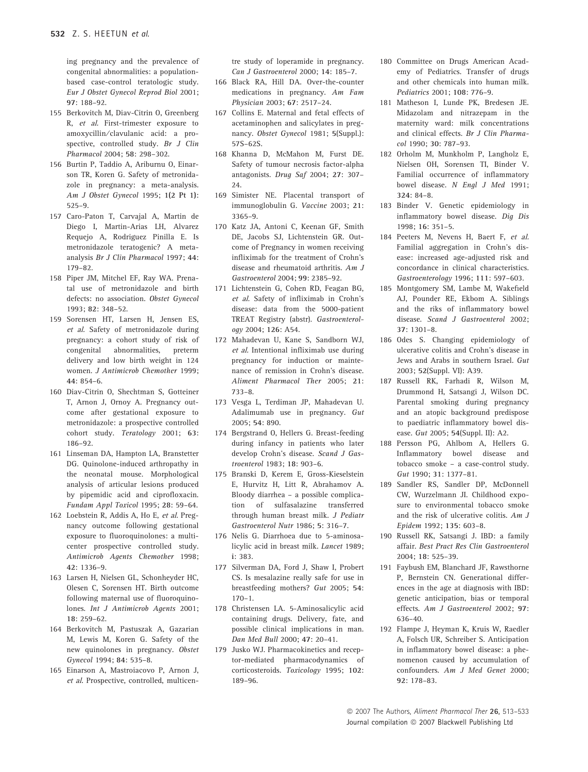ing pregnancy and the prevalence of congenital abnormalities: a populationbased case-control teratologic study. Eur J Obstet Gynecol Reprod Biol 2001; 97: 188–92.

- 155 Berkovitch M, Diav-Citrin O, Greenberg R, et al. First-trimester exposure to amoxycillin/clavulanic acid: a prospective, controlled study. Br J Clin Pharmacol 2004; 58: 298–302.
- 156 Burtin P, Taddio A, Ariburnu O, Einarson TR, Koren G. Safety of metronidazole in pregnancy: a meta-analysis. Am J Obstet Gynecol 1995; 1(2 Pt 1): 525–9.
- 157 Caro-Paton T, Carvajal A, Martin de Diego I, Martin-Arias LH, Alvarez Requejo A, Rodriguez Pinilla E. Is metronidazole teratogenic? A metaanalysis Br J Clin Pharmacol 1997; 44: 179–82.
- 158 Piper JM, Mitchel EF, Ray WA. Prenatal use of metronidazole and birth defects: no association. Obstet Gynecol 1993; 82: 348–52.
- 159 Sorensen HT, Larsen H, Jensen ES, et al. Safety of metronidazole during pregnancy: a cohort study of risk of congenital abnormalities, preterm delivery and low birth weight in 124 women. J Antimicrob Chemother 1999;  $44.854 - 6$
- 160 Diav-Citrin O, Shechtman S, Gotteiner T, Arnon J, Ornoy A. Pregnancy outcome after gestational exposure to metronidazole: a prospective controlled cohort study. Teratology 2001; 63: 186–92.
- 161 Linseman DA, Hampton LA, Branstetter DG. Quinolone-induced arthropathy in the neonatal mouse. Morphological analysis of articular lesions produced by pipemidic acid and ciprofloxacin. Fundam Appl Toxicol 1995; 28: 59–64.
- 162 Loebstein R, Addis A, Ho E, et al. Pregnancy outcome following gestational exposure to fluoroquinolones: a multicenter prospective controlled study. Antimicrob Agents Chemother 1998; 42: 1336–9.
- 163 Larsen H, Nielsen GL, Schonheyder HC, Olesen C, Sorensen HT. Birth outcome following maternal use of fluoroquinolones. Int J Antimicrob Agents 2001; 18: 259–62.
- 164 Berkovitch M, Pastuszak A, Gazarian M, Lewis M, Koren G. Safety of the new quinolones in pregnancy. Obstet Gynecol 1994; 84: 535–8.
- 165 Einarson A, Mastroiacovo P, Arnon J, et al. Prospective, controlled, multicen-

tre study of loperamide in pregnancy. Can J Gastroenterol 2000; 14: 185–7.

- 166 Black RA, Hill DA. Over-the-counter medications in pregnancy. Am Fam Physician 2003; 67: 2517–24.
- 167 Collins E. Maternal and fetal effects of acetaminophen and salicylates in pregnancy. Obstet Gynecol 1981; 5(Suppl.): 57S–62S.
- 168 Khanna D, McMahon M, Furst DE. Safety of tumour necrosis factor-alpha antagonists. Drug Saf 2004; 27: 307– 24.
- 169 Simister NE. Placental transport of immunoglobulin G. Vaccine 2003; 21: 3365–9.
- 170 Katz JA, Antoni C, Keenan GF, Smith DE, Jacobs SJ, Lichtenstein GR. Outcome of Pregnancy in women receiving infliximab for the treatment of Crohn's disease and rheumatoid arthritis. Am J Gastroenterol 2004; 99: 2385–92.
- 171 Lichtenstein G, Cohen RD, Feagan BG, et al. Safety of infliximab in Crohn's disease: data from the 5000-patient TREAT Registry (abstr). Gastroenterology 2004; 126: A54.
- 172 Mahadevan U, Kane S, Sandborn WJ, et al. Intentional infliximab use during pregnancy for induction or maintenance of remission in Crohn's disease. Aliment Pharmacol Ther 2005; 21: 733–8.
- 173 Vesga L, Terdiman JP, Mahadevan U. Adalimumab use in pregnancy. Gut 2005; 54: 890.
- 174 Bergstrand O, Hellers G. Breast-feeding during infancy in patients who later develop Crohn's disease. Scand J Gastroenterol 1983; 18: 903–6.
- 175 Branski D, Kerem E, Gross-Kieselstein E, Hurvitz H, Litt R, Abrahamov A. Bloody diarrhea – a possible complication of sulfasalazine transferred through human breast milk. J Pediatr Gastroenterol Nutr 1986; 5: 316–7.
- 176 Nelis G. Diarrhoea due to 5-aminosalicylic acid in breast milk. Lancet 1989; i: 383.
- 177 Silverman DA, Ford J, Shaw I, Probert CS. Is mesalazine really safe for use in breastfeeding mothers? Gut 2005; 54: 170–1.
- 178 Christensen LA. 5-Aminosalicylic acid containing drugs. Delivery, fate, and possible clinical implications in man. Dan Med Bull 2000; 47: 20–41.
- 179 Jusko WJ. Pharmacokinetics and receptor-mediated pharmacodynamics of corticosteroids. Toxicology 1995; 102: 189–96.
- 180 Committee on Drugs American Academy of Pediatrics. Transfer of drugs and other chemicals into human milk. Pediatrics 2001; 108: 776–9.
- 181 Matheson I, Lunde PK, Bredesen JE. Midazolam and nitrazepam in the maternity ward: milk concentrations and clinical effects. Br J Clin Pharmacol 1990; 30: 787–93.
- 182 Orholm M, Munkholm P, Langholz E, Nielsen OH, Sorensen TI, Binder V. Familial occurrence of inflammatory bowel disease. N Engl J Med 1991; 324: 84–8.
- 183 Binder V. Genetic epidemiology in inflammatory bowel disease. Dig Dis 1998; 16: 351–5.
- 184 Peeters M, Nevens H, Baert F, et al. Familial aggregation in Crohn's disease: increased age-adjusted risk and concordance in clinical characteristics. Gastroenterology 1996; 111: 597–603.
- 185 Montgomery SM, Lambe M, Wakefield AJ, Pounder RE, Ekbom A. Siblings and the riks of inflammatory bowel disease. Scand J Gastroenterol 2002;  $37 \cdot 1301 - 8$
- 186 Odes S. Changing epidemiology of ulcerative colitis and Crohn's disease in Jews and Arabs in southern Israel. Gut 2003; 52(Suppl. VI): A39.
- 187 Russell RK, Farhadi R, Wilson M, Drummond H, Satsangi J, Wilson DC. Parental smoking during pregnancy and an atopic background predispose to paediatric inflammatory bowel disease. Gut 2005; 54(Suppl. II): A2.
- 188 Persson PG, Ahlbom A, Hellers G. Inflammatory bowel disease and tobacco smoke – a case-control study. Gut 1990; 31: 1377–81.
- 189 Sandler RS, Sandler DP, McDonnell CW, Wurzelmann JI. Childhood exposure to environmental tobacco smoke and the risk of ulcerative colitis. Am J Epidem 1992; 135: 603–8.
- 190 Russell RK, Satsangi J. IBD: a family affair. Best Pract Res Clin Gastroenterol 2004; 18: 525–39.
- 191 Faybush EM, Blanchard JF, Rawsthorne P, Bernstein CN. Generational differences in the age at diagnosis with IBD: genetic anticipation, bias or temporal effects. Am J Gastroenterol 2002; 97: 636–40.
- 192 Flampe J, Heyman K, Kruis W, Raedler A, Folsch UR, Schreiber S. Anticipation in inflammatory bowel disease: a phenomenon caused by accumulation of confounders. Am J Med Genet 2000; 92: 178–83.